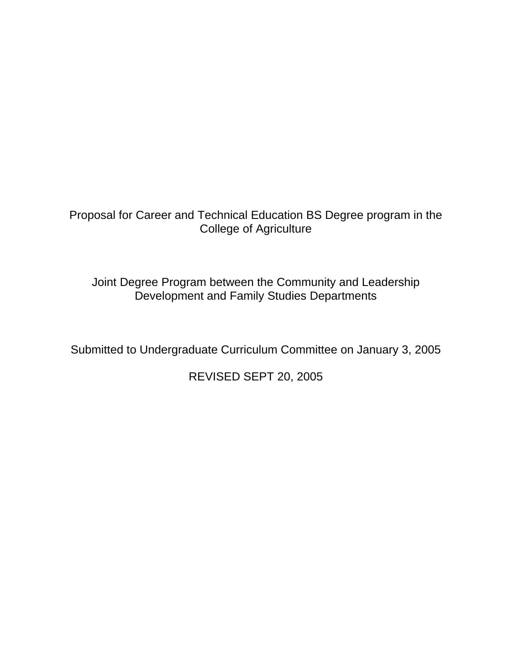Proposal for Career and Technical Education BS Degree program in the College of Agriculture

Joint Degree Program between the Community and Leadership Development and Family Studies Departments

Submitted to Undergraduate Curriculum Committee on January 3, 2005

REVISED SEPT 20, 2005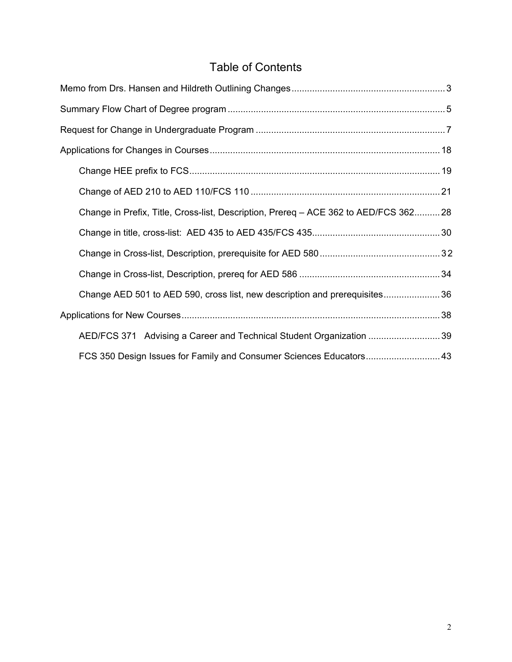# Table of Contents

| Change in Prefix, Title, Cross-list, Description, Prereq - ACE 362 to AED/FCS 36228 |
|-------------------------------------------------------------------------------------|
|                                                                                     |
|                                                                                     |
|                                                                                     |
| Change AED 501 to AED 590, cross list, new description and prerequisites36          |
|                                                                                     |
| AED/FCS 371 Advising a Career and Technical Student Organization 39                 |
| FCS 350 Design Issues for Family and Consumer Sciences Educators 43                 |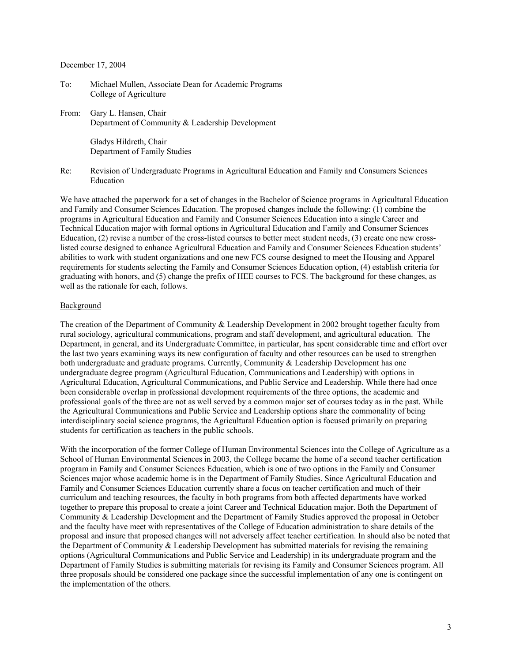#### December 17, 2004

- To: Michael Mullen, Associate Dean for Academic Programs College of Agriculture
- From: Gary L. Hansen, Chair Department of Community & Leadership Development

 Gladys Hildreth, Chair Department of Family Studies

Re: Revision of Undergraduate Programs in Agricultural Education and Family and Consumers Sciences Education

We have attached the paperwork for a set of changes in the Bachelor of Science programs in Agricultural Education and Family and Consumer Sciences Education. The proposed changes include the following: (1) combine the programs in Agricultural Education and Family and Consumer Sciences Education into a single Career and Technical Education major with formal options in Agricultural Education and Family and Consumer Sciences Education, (2) revise a number of the cross-listed courses to better meet student needs, (3) create one new crosslisted course designed to enhance Agricultural Education and Family and Consumer Sciences Education students' abilities to work with student organizations and one new FCS course designed to meet the Housing and Apparel requirements for students selecting the Family and Consumer Sciences Education option, (4) establish criteria for graduating with honors, and (5) change the prefix of HEE courses to FCS. The background for these changes, as well as the rationale for each, follows.

#### Background

The creation of the Department of Community & Leadership Development in 2002 brought together faculty from rural sociology, agricultural communications, program and staff development, and agricultural education. The Department, in general, and its Undergraduate Committee, in particular, has spent considerable time and effort over the last two years examining ways its new configuration of faculty and other resources can be used to strengthen both undergraduate and graduate programs. Currently, Community & Leadership Development has one undergraduate degree program (Agricultural Education, Communications and Leadership) with options in Agricultural Education, Agricultural Communications, and Public Service and Leadership. While there had once been considerable overlap in professional development requirements of the three options, the academic and professional goals of the three are not as well served by a common major set of courses today as in the past. While the Agricultural Communications and Public Service and Leadership options share the commonality of being interdisciplinary social science programs, the Agricultural Education option is focused primarily on preparing students for certification as teachers in the public schools.

With the incorporation of the former College of Human Environmental Sciences into the College of Agriculture as a School of Human Environmental Sciences in 2003, the College became the home of a second teacher certification program in Family and Consumer Sciences Education, which is one of two options in the Family and Consumer Sciences major whose academic home is in the Department of Family Studies. Since Agricultural Education and Family and Consumer Sciences Education currently share a focus on teacher certification and much of their curriculum and teaching resources, the faculty in both programs from both affected departments have worked together to prepare this proposal to create a joint Career and Technical Education major. Both the Department of Community & Leadership Development and the Department of Family Studies approved the proposal in October and the faculty have meet with representatives of the College of Education administration to share details of the proposal and insure that proposed changes will not adversely affect teacher certification. In should also be noted that the Department of Community & Leadership Development has submitted materials for revising the remaining options (Agricultural Communications and Public Service and Leadership) in its undergraduate program and the Department of Family Studies is submitting materials for revising its Family and Consumer Sciences program. All three proposals should be considered one package since the successful implementation of any one is contingent on the implementation of the others.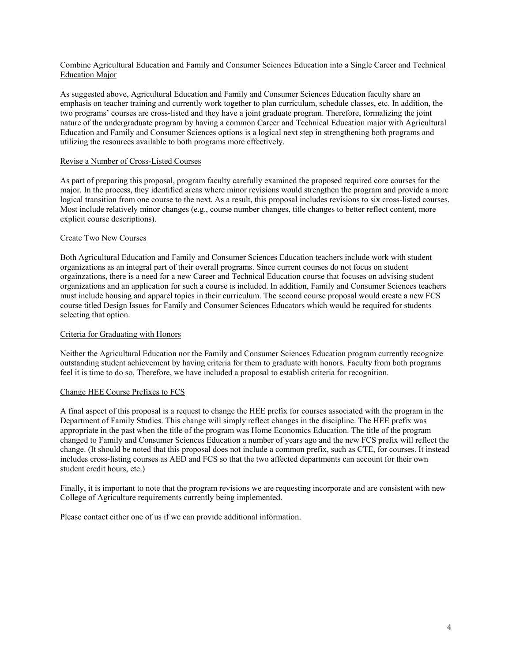#### Combine Agricultural Education and Family and Consumer Sciences Education into a Single Career and Technical Education Major

As suggested above, Agricultural Education and Family and Consumer Sciences Education faculty share an emphasis on teacher training and currently work together to plan curriculum, schedule classes, etc. In addition, the two programs' courses are cross-listed and they have a joint graduate program. Therefore, formalizing the joint nature of the undergraduate program by having a common Career and Technical Education major with Agricultural Education and Family and Consumer Sciences options is a logical next step in strengthening both programs and utilizing the resources available to both programs more effectively.

#### Revise a Number of Cross-Listed Courses

As part of preparing this proposal, program faculty carefully examined the proposed required core courses for the major. In the process, they identified areas where minor revisions would strengthen the program and provide a more logical transition from one course to the next. As a result, this proposal includes revisions to six cross-listed courses. Most include relatively minor changes (e.g., course number changes, title changes to better reflect content, more explicit course descriptions).

#### Create Two New Courses

Both Agricultural Education and Family and Consumer Sciences Education teachers include work with student organizations as an integral part of their overall programs. Since current courses do not focus on student orgainzations, there is a need for a new Career and Technical Education course that focuses on advising student organizations and an application for such a course is included. In addition, Family and Consumer Sciences teachers must include housing and apparel topics in their curriculum. The second course proposal would create a new FCS course titled Design Issues for Family and Consumer Sciences Educators which would be required for students selecting that option.

#### Criteria for Graduating with Honors

Neither the Agricultural Education nor the Family and Consumer Sciences Education program currently recognize outstanding student achievement by having criteria for them to graduate with honors. Faculty from both programs feel it is time to do so. Therefore, we have included a proposal to establish criteria for recognition.

#### Change HEE Course Prefixes to FCS

A final aspect of this proposal is a request to change the HEE prefix for courses associated with the program in the Department of Family Studies. This change will simply reflect changes in the discipline. The HEE prefix was appropriate in the past when the title of the program was Home Economics Education. The title of the program changed to Family and Consumer Sciences Education a number of years ago and the new FCS prefix will reflect the change. (It should be noted that this proposal does not include a common prefix, such as CTE, for courses. It instead includes cross-listing courses as AED and FCS so that the two affected departments can account for their own student credit hours, etc.)

Finally, it is important to note that the program revisions we are requesting incorporate and are consistent with new College of Agriculture requirements currently being implemented.

Please contact either one of us if we can provide additional information.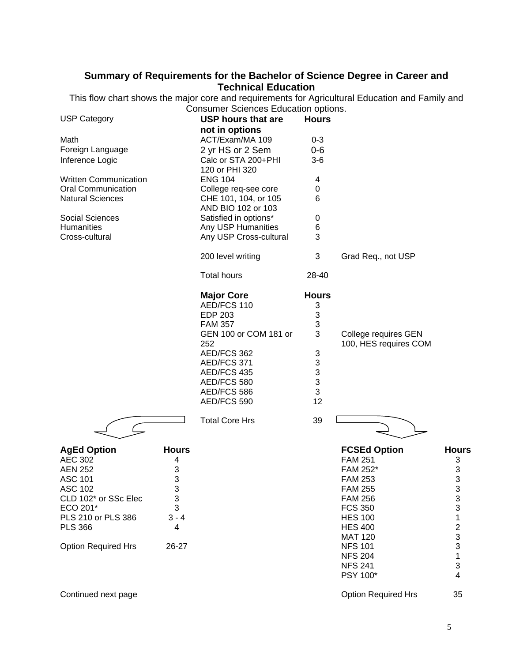# **Summary of Requirements for the Bachelor of Science Degree in Career and Technical Education**

This flow chart shows the major core and requirements for Agricultural Education and Family and Consumer Sciences Education options.

| <b>USP Category</b>          |              | <u>sannon Oononioos Eddodinon opinonio:</u><br><b>USP hours that are</b> | <b>Hours</b> |                                               |                                                 |
|------------------------------|--------------|--------------------------------------------------------------------------|--------------|-----------------------------------------------|-------------------------------------------------|
|                              |              | not in options                                                           |              |                                               |                                                 |
| Math                         |              | ACT/Exam/MA 109                                                          | $0 - 3$      |                                               |                                                 |
| Foreign Language             |              | 2 yr HS or 2 Sem                                                         | $0-6$        |                                               |                                                 |
| Inference Logic              |              | Calc or STA 200+PHI<br>120 or PHI 320                                    | $3-6$        |                                               |                                                 |
| <b>Written Communication</b> |              | <b>ENG 104</b>                                                           | 4            |                                               |                                                 |
| <b>Oral Communication</b>    |              | College req-see core                                                     | 0            |                                               |                                                 |
| <b>Natural Sciences</b>      |              | CHE 101, 104, or 105<br>AND BIO 102 or 103                               | 6            |                                               |                                                 |
| <b>Social Sciences</b>       |              | Satisfied in options*                                                    | 0            |                                               |                                                 |
| <b>Humanities</b>            |              | Any USP Humanities                                                       | 6            |                                               |                                                 |
| Cross-cultural               |              | Any USP Cross-cultural                                                   | 3            |                                               |                                                 |
|                              |              | 200 level writing                                                        | 3            | Grad Req., not USP                            |                                                 |
|                              |              | <b>Total hours</b>                                                       | 28-40        |                                               |                                                 |
|                              |              | <b>Major Core</b>                                                        | <b>Hours</b> |                                               |                                                 |
|                              |              | AED/FCS 110                                                              | 3            |                                               |                                                 |
|                              |              | <b>EDP 203</b>                                                           | 3            |                                               |                                                 |
|                              |              | <b>FAM 357</b>                                                           | 3            |                                               |                                                 |
|                              |              | GEN 100 or COM 181 or<br>252                                             | 3            | College requires GEN<br>100, HES requires COM |                                                 |
|                              |              | AED/FCS 362                                                              | 3            |                                               |                                                 |
|                              |              | AED/FCS 371                                                              | 3            |                                               |                                                 |
|                              |              | AED/FCS 435                                                              | 3            |                                               |                                                 |
|                              |              | AED/FCS 580                                                              | 3            |                                               |                                                 |
|                              |              | AED/FCS 586                                                              | 3            |                                               |                                                 |
|                              |              | AED/FCS 590                                                              | 12           |                                               |                                                 |
|                              |              | <b>Total Core Hrs</b>                                                    | 39           |                                               |                                                 |
| <b>AgEd Option</b>           | <b>Hours</b> |                                                                          |              | <b>FCSEd Option</b>                           | <b>Hours</b>                                    |
| <b>AEC 302</b>               | 4            |                                                                          |              | <b>FAM 251</b>                                | 3                                               |
| <b>AEN 252</b>               | 3            |                                                                          |              | FAM 252*                                      | 3                                               |
| <b>ASC 101</b>               | 3            |                                                                          |              | <b>FAM 253</b>                                | 3                                               |
| ASC 102                      | 3            |                                                                          |              | <b>FAM 255</b>                                | 3                                               |
| CLD 102* or SSc Elec         | 3            |                                                                          |              | <b>FAM 256</b>                                |                                                 |
| ECO 201*                     | 3            |                                                                          |              | <b>FCS 350</b>                                | $\frac{3}{3}$                                   |
| PLS 210 or PLS 386           | $3 - 4$      |                                                                          |              | <b>HES 100</b>                                |                                                 |
| <b>PLS 366</b>               | 4            |                                                                          |              | <b>HES 400</b>                                |                                                 |
|                              |              |                                                                          |              | <b>MAT 120</b>                                | $\begin{array}{c} 1 \\ 2 \\ 3 \\ 3 \end{array}$ |
| <b>Option Required Hrs</b>   | 26-27        |                                                                          |              | <b>NFS 101</b>                                |                                                 |
|                              |              |                                                                          |              | <b>NFS 204</b>                                | $\mathbf{1}$                                    |
|                              |              |                                                                          |              | <b>NFS 241</b>                                | 3                                               |
|                              |              |                                                                          |              | PSY 100*                                      | 4                                               |
| Continued next page          |              |                                                                          |              | <b>Option Required Hrs</b>                    | 35                                              |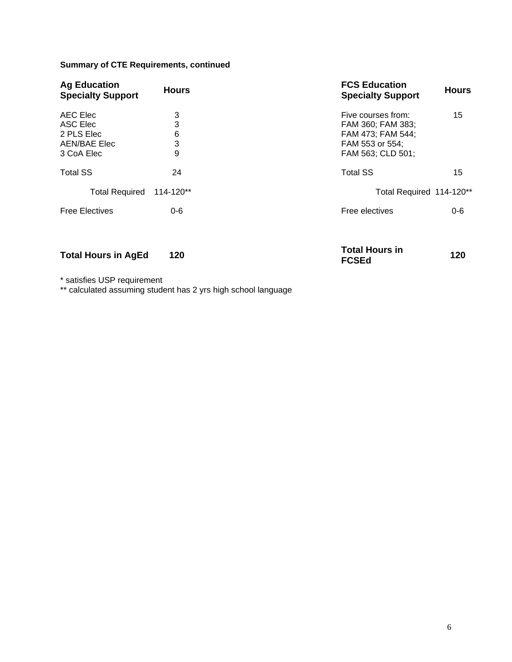### **Summary of CTE Requirements, continued**

| <b>Ag Education</b><br><b>Specialty Support</b>                  | <b>Hours</b>          | <b>FCS Education</b><br><b>Specialty Support</b>                                                     | <b>Hours</b> |
|------------------------------------------------------------------|-----------------------|------------------------------------------------------------------------------------------------------|--------------|
| AEC Elec<br>ASC Elec<br>2 PLS Elec<br>AEN/BAE Elec<br>3 CoA Elec | 3<br>3<br>6<br>3<br>9 | Five courses from:<br>FAM 360; FAM 383;<br>FAM 473; FAM 544;<br>FAM 553 or 554;<br>FAM 563; CLD 501; | 15           |
| <b>Total SS</b>                                                  | 24                    | <b>Total SS</b>                                                                                      | 15           |
| <b>Total Required</b>                                            | 114-120**             | Total Required 114-120**                                                                             |              |
| <b>Free Electives</b>                                            | $0 - 6$               | Free electives                                                                                       | $0 - 6$      |

**Total Hours in AgEd 120 Total Hours in** 

**FCSEd <sup>120</sup>**

\* satisfies USP requirement

\*\* calculated assuming student has 2 yrs high school language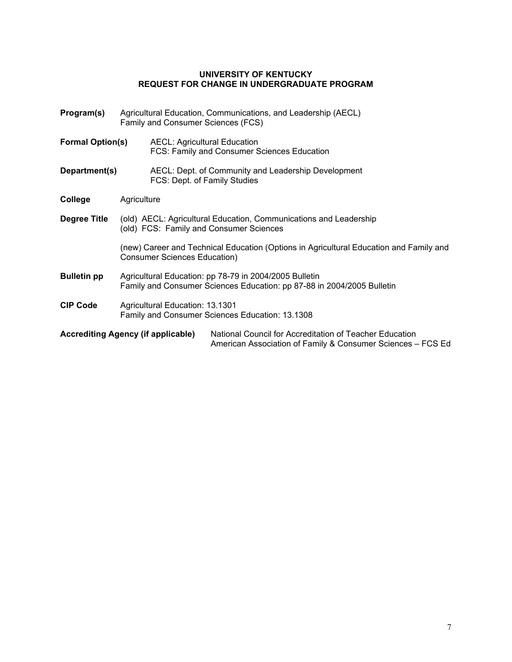#### **UNIVERSITY OF KENTUCKY REQUEST FOR CHANGE IN UNDERGRADUATE PROGRAM**

| Program(s)<br>Agricultural Education, Communications, and Leadership (AECL)<br>Family and Consumer Sciences (FCS) |                                                                                                                                  |  |                                                                                                                        |  |  |
|-------------------------------------------------------------------------------------------------------------------|----------------------------------------------------------------------------------------------------------------------------------|--|------------------------------------------------------------------------------------------------------------------------|--|--|
| <b>Formal Option(s)</b>                                                                                           |                                                                                                                                  |  | <b>AECL: Agricultural Education</b><br>FCS: Family and Consumer Sciences Education                                     |  |  |
| Department(s)                                                                                                     |                                                                                                                                  |  | AECL: Dept. of Community and Leadership Development<br>FCS: Dept. of Family Studies                                    |  |  |
| College                                                                                                           | Agriculture                                                                                                                      |  |                                                                                                                        |  |  |
| Degree Title                                                                                                      | (old) AECL: Agricultural Education, Communications and Leadership<br>(old) FCS: Family and Consumer Sciences                     |  |                                                                                                                        |  |  |
|                                                                                                                   | (new) Career and Technical Education (Options in Agricultural Education and Family and<br><b>Consumer Sciences Education)</b>    |  |                                                                                                                        |  |  |
| <b>Bulletin pp</b>                                                                                                | Agricultural Education: pp 78-79 in 2004/2005 Bulletin<br>Family and Consumer Sciences Education: pp 87-88 in 2004/2005 Bulletin |  |                                                                                                                        |  |  |
| <b>CIP Code</b>                                                                                                   | Agricultural Education: 13.1301<br>Family and Consumer Sciences Education: 13.1308                                               |  |                                                                                                                        |  |  |
| <b>Accrediting Agency (if applicable)</b>                                                                         |                                                                                                                                  |  | National Council for Accreditation of Teacher Education<br>American Association of Family & Consumer Sciences – FCS Ed |  |  |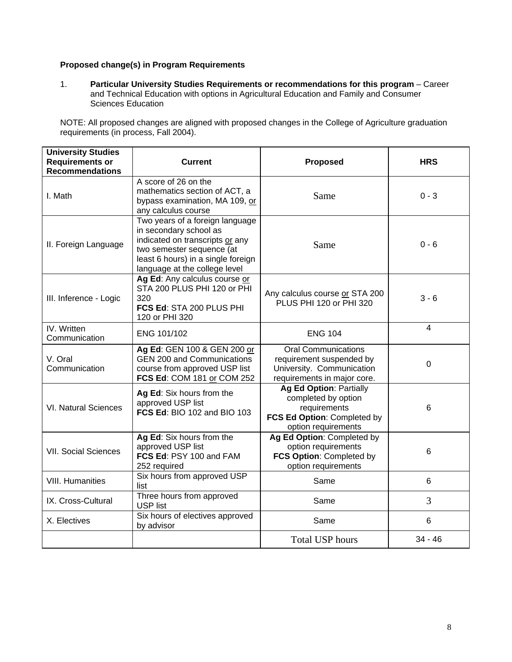#### **Proposed change(s) in Program Requirements**

1. **Particular University Studies Requirements or recommendations for this program** – Career and Technical Education with options in Agricultural Education and Family and Consumer Sciences Education

NOTE: All proposed changes are aligned with proposed changes in the College of Agriculture graduation requirements (in process, Fall 2004).

| <b>University Studies</b><br><b>Requirements or</b><br><b>Recommendations</b> | <b>Current</b>                                                                                                                                                                                   | <b>Proposed</b>                                                                                                             | <b>HRS</b>  |
|-------------------------------------------------------------------------------|--------------------------------------------------------------------------------------------------------------------------------------------------------------------------------------------------|-----------------------------------------------------------------------------------------------------------------------------|-------------|
| I. Math                                                                       | A score of 26 on the<br>mathematics section of ACT, a<br>bypass examination, MA 109, or<br>any calculus course                                                                                   | Same                                                                                                                        | $0 - 3$     |
| II. Foreign Language                                                          | Two years of a foreign language<br>in secondary school as<br>indicated on transcripts or any<br>two semester sequence (at<br>least 6 hours) in a single foreign<br>language at the college level | Same                                                                                                                        | $0 - 6$     |
| III. Inference - Logic                                                        | Ag Ed: Any calculus course or<br>STA 200 PLUS PHI 120 or PHI<br>320<br>FCS Ed: STA 200 PLUS PHI<br>120 or PHI 320                                                                                | Any calculus course or STA 200<br>PLUS PHI 120 or PHI 320                                                                   | $3 - 6$     |
| IV. Written<br>Communication                                                  | ENG 101/102                                                                                                                                                                                      | <b>ENG 104</b>                                                                                                              | 4           |
| V. Oral<br>Communication                                                      | Ag Ed: GEN 100 & GEN 200 or<br><b>GEN 200 and Communications</b><br>course from approved USP list<br>FCS Ed: COM 181 or COM 252                                                                  | <b>Oral Communications</b><br>requirement suspended by<br>University. Communication<br>requirements in major core.          | $\mathbf 0$ |
| <b>VI. Natural Sciences</b>                                                   | Ag Ed: Six hours from the<br>approved USP list<br><b>FCS Ed: BIO 102 and BIO 103</b>                                                                                                             | <b>Ag Ed Option: Partially</b><br>completed by option<br>requirements<br>FCS Ed Option: Completed by<br>option requirements | 6           |
| <b>VII. Social Sciences</b>                                                   | Ag Ed: Six hours from the<br>approved USP list<br>FCS Ed: PSY 100 and FAM<br>252 required                                                                                                        | Ag Ed Option: Completed by<br>option requirements<br>FCS Option: Completed by<br>option requirements                        | 6           |
| <b>VIII. Humanities</b>                                                       | Six hours from approved USP<br>list                                                                                                                                                              | Same                                                                                                                        | 6           |
| IX. Cross-Cultural                                                            | Three hours from approved<br><b>USP list</b>                                                                                                                                                     | Same                                                                                                                        | 3           |
| X. Electives                                                                  | Six hours of electives approved<br>by advisor                                                                                                                                                    | Same                                                                                                                        | 6           |
|                                                                               |                                                                                                                                                                                                  | <b>Total USP hours</b>                                                                                                      | $34 - 46$   |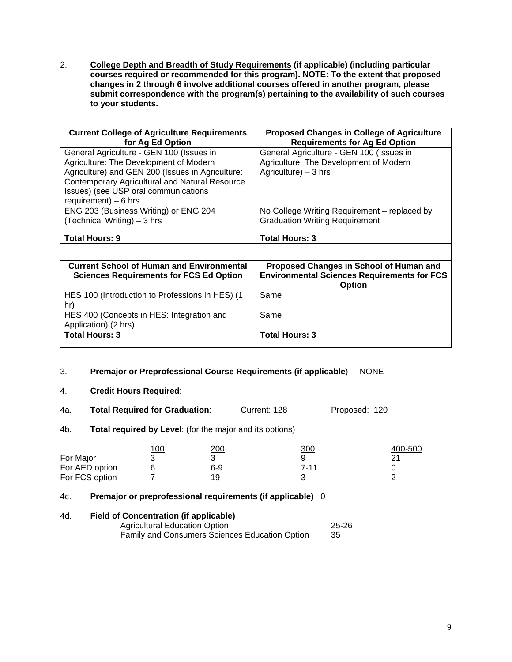2. **College Depth and Breadth of Study Requirements (if applicable) (including particular courses required or recommended for this program). NOTE: To the extent that proposed changes in 2 through 6 involve additional courses offered in another program, please submit correspondence with the program(s) pertaining to the availability of such courses to your students.**

| <b>Current College of Agriculture Requirements</b><br>for Ag Ed Option                                                                                                                                                                                           | <b>Proposed Changes in College of Agriculture</b><br><b>Requirements for Ag Ed Option</b>                      |
|------------------------------------------------------------------------------------------------------------------------------------------------------------------------------------------------------------------------------------------------------------------|----------------------------------------------------------------------------------------------------------------|
| General Agriculture - GEN 100 (Issues in<br>Agriculture: The Development of Modern<br>Agriculture) and GEN 200 (Issues in Agriculture:<br><b>Contemporary Agricultural and Natural Resource</b><br>Issues) (see USP oral communications<br>requirement) $-6$ hrs | General Agriculture - GEN 100 (Issues in<br>Agriculture: The Development of Modern<br>Agriculture) $-3$ hrs    |
| ENG 203 (Business Writing) or ENG 204<br>(Technical Writing) - 3 hrs                                                                                                                                                                                             | No College Writing Requirement – replaced by<br><b>Graduation Writing Requirement</b>                          |
| <b>Total Hours: 9</b>                                                                                                                                                                                                                                            | <b>Total Hours: 3</b>                                                                                          |
|                                                                                                                                                                                                                                                                  |                                                                                                                |
| <b>Current School of Human and Environmental</b><br><b>Sciences Requirements for FCS Ed Option</b>                                                                                                                                                               | Proposed Changes in School of Human and<br><b>Environmental Sciences Requirements for FCS</b><br><b>Option</b> |
| HES 100 (Introduction to Professions in HES) (1<br>hr)                                                                                                                                                                                                           | Same                                                                                                           |
| HES 400 (Concepts in HES: Integration and<br>Application) (2 hrs)                                                                                                                                                                                                | Same                                                                                                           |
| <b>Total Hours: 3</b>                                                                                                                                                                                                                                            | <b>Total Hours: 3</b>                                                                                          |

- 3. **Premajor or Preprofessional Course Requirements (if applicable**) NONE
- 4. **Credit Hours Required**:
- 4a. **Total Required for Graduation**: Current: 128 Proposed: 120
- 4b. **Total required by Level**: (for the major and its options)

|                | <u> 100</u> | 200 | <u>300</u> | 400-500 |
|----------------|-------------|-----|------------|---------|
| For Major      |             |     |            |         |
| For AED option |             | 6-9 | 7-11       |         |
| For FCS option |             | 19  |            |         |

#### 4c. **Premajor or preprofessional requirements (if applicable)** 0

#### 4d. **Field of Concentration (if applicable)**

Agricultural Education Option 25-26 Family and Consumers Sciences Education Option 35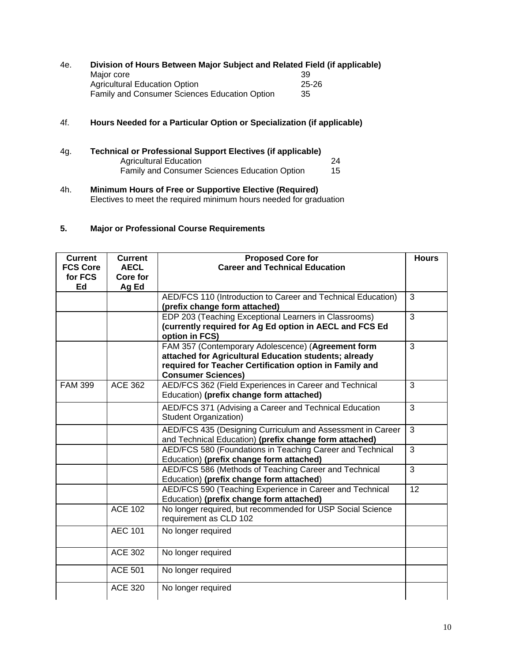#### 4e. **Division of Hours Between Major Subject and Related Field (if applicable)** Major core 39<br>Agricultural Education Option 1996 1997 1998 1999 25-26 Agricultural Education Option<br>
Family and Consumer Sciences Education Option 35 Family and Consumer Sciences Education Option 35

#### 4f. **Hours Needed for a Particular Option or Specialization (if applicable)**

- 4g. **Technical or Professional Support Electives (if applicable)** Agricultural Education<br>
Family and Consumer Sciences Education Option 15 Family and Consumer Sciences Education Option 15
- 4h. **Minimum Hours of Free or Supportive Elective (Required)** Electives to meet the required minimum hours needed for graduation

#### **5. Major or Professional Course Requirements**

| <b>Current</b><br><b>FCS Core</b> | <b>Current</b><br><b>AECL</b> | <b>Proposed Core for</b><br><b>Career and Technical Education</b>                                                                                                                                   |                |
|-----------------------------------|-------------------------------|-----------------------------------------------------------------------------------------------------------------------------------------------------------------------------------------------------|----------------|
| for FCS<br>Ed                     | Core for<br>Ag Ed             |                                                                                                                                                                                                     |                |
|                                   |                               | AED/FCS 110 (Introduction to Career and Technical Education)<br>(prefix change form attached)                                                                                                       | 3              |
|                                   |                               | EDP 203 (Teaching Exceptional Learners in Classrooms)<br>(currently required for Ag Ed option in AECL and FCS Ed<br>option in FCS)                                                                  | 3              |
|                                   |                               | FAM 357 (Contemporary Adolescence) (Agreement form<br>attached for Agricultural Education students; already<br>required for Teacher Certification option in Family and<br><b>Consumer Sciences)</b> | 3              |
| <b>FAM 399</b>                    | <b>ACE 362</b>                | AED/FCS 362 (Field Experiences in Career and Technical<br>Education) (prefix change form attached)                                                                                                  | 3              |
|                                   |                               | AED/FCS 371 (Advising a Career and Technical Education<br><b>Student Organization)</b>                                                                                                              | $\overline{3}$ |
|                                   |                               | AED/FCS 435 (Designing Curriculum and Assessment in Career<br>and Technical Education) (prefix change form attached)                                                                                | 3              |
|                                   |                               | AED/FCS 580 (Foundations in Teaching Career and Technical<br>Education) (prefix change form attached)                                                                                               | 3              |
|                                   |                               | AED/FCS 586 (Methods of Teaching Career and Technical<br>Education) (prefix change form attached)                                                                                                   | 3              |
|                                   |                               | AED/FCS 590 (Teaching Experience in Career and Technical<br>Education) (prefix change form attached)                                                                                                | 12             |
|                                   | <b>ACE 102</b>                | No longer required, but recommended for USP Social Science<br>requirement as CLD 102                                                                                                                |                |
|                                   | <b>AEC 101</b>                | No longer required                                                                                                                                                                                  |                |
|                                   | <b>ACE 302</b>                | No longer required                                                                                                                                                                                  |                |
|                                   | <b>ACE 501</b>                | No longer required                                                                                                                                                                                  |                |
|                                   | <b>ACE 320</b>                | No longer required                                                                                                                                                                                  |                |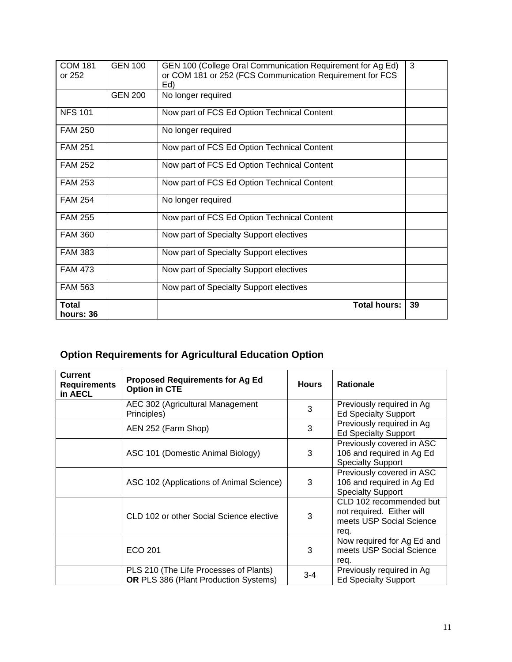| hours: 36                |                |                                                                                                                               |    |
|--------------------------|----------------|-------------------------------------------------------------------------------------------------------------------------------|----|
| Total                    |                | <b>Total hours:</b>                                                                                                           | 39 |
| <b>FAM 563</b>           |                | Now part of Specialty Support electives                                                                                       |    |
| <b>FAM 473</b>           |                | Now part of Specialty Support electives                                                                                       |    |
| <b>FAM 383</b>           |                | Now part of Specialty Support electives                                                                                       |    |
| <b>FAM 360</b>           |                | Now part of Specialty Support electives                                                                                       |    |
| <b>FAM 255</b>           |                | Now part of FCS Ed Option Technical Content                                                                                   |    |
| <b>FAM 254</b>           |                | No longer required                                                                                                            |    |
| <b>FAM 253</b>           |                | Now part of FCS Ed Option Technical Content                                                                                   |    |
| <b>FAM 252</b>           |                | Now part of FCS Ed Option Technical Content                                                                                   |    |
| <b>FAM 251</b>           |                | Now part of FCS Ed Option Technical Content                                                                                   |    |
| <b>FAM 250</b>           |                | No longer required                                                                                                            |    |
| <b>NFS 101</b>           |                | Now part of FCS Ed Option Technical Content                                                                                   |    |
|                          | <b>GEN 200</b> | No longer required                                                                                                            |    |
| <b>COM 181</b><br>or 252 | <b>GEN 100</b> | GEN 100 (College Oral Communication Requirement for Ag Ed)<br>or COM 181 or 252 (FCS Communication Requirement for FCS<br>Ed) | 3  |
|                          |                |                                                                                                                               |    |

# **Option Requirements for Agricultural Education Option**

| <b>Current</b><br><b>Requirements</b><br>in AECL | <b>Proposed Requirements for Ag Ed</b><br><b>Option in CTE</b>                         | <b>Hours</b> | <b>Rationale</b>                                                                         |
|--------------------------------------------------|----------------------------------------------------------------------------------------|--------------|------------------------------------------------------------------------------------------|
|                                                  | AEC 302 (Agricultural Management<br>Principles)                                        | 3            | Previously required in Ag<br><b>Ed Specialty Support</b>                                 |
|                                                  | AEN 252 (Farm Shop)                                                                    | 3            | Previously required in Ag<br><b>Ed Specialty Support</b>                                 |
|                                                  | ASC 101 (Domestic Animal Biology)                                                      | 3            | Previously covered in ASC<br>106 and required in Ag Ed<br><b>Specialty Support</b>       |
|                                                  | ASC 102 (Applications of Animal Science)                                               | 3            | Previously covered in ASC<br>106 and required in Ag Ed<br><b>Specialty Support</b>       |
|                                                  | CLD 102 or other Social Science elective                                               | 3            | CLD 102 recommended but<br>not required. Either will<br>meets USP Social Science<br>req. |
|                                                  | ECO 201                                                                                | 3            | Now required for Ag Ed and<br>meets USP Social Science<br>req.                           |
|                                                  | PLS 210 (The Life Processes of Plants)<br><b>OR PLS 386 (Plant Production Systems)</b> | $3 - 4$      | Previously required in Ag<br><b>Ed Specialty Support</b>                                 |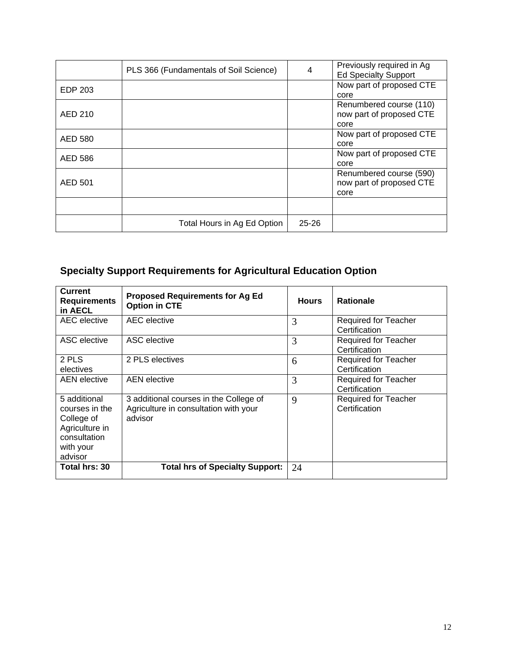|                | PLS 366 (Fundamentals of Soil Science) | $\overline{4}$ | Previously required in Ag<br><b>Ed Specialty Support</b>    |
|----------------|----------------------------------------|----------------|-------------------------------------------------------------|
| EDP 203        |                                        |                | Now part of proposed CTE<br>core                            |
| AED 210        |                                        |                | Renumbered course (110)<br>now part of proposed CTE<br>core |
| AED 580        |                                        |                | Now part of proposed CTE<br>core                            |
| <b>AED 586</b> |                                        |                | Now part of proposed CTE<br>core                            |
| AED 501        |                                        |                | Renumbered course (590)<br>now part of proposed CTE<br>core |
|                |                                        |                |                                                             |
|                | Total Hours in Ag Ed Option            | $25 - 26$      |                                                             |

# **Specialty Support Requirements for Agricultural Education Option**

| <b>Current</b><br><b>Requirements</b><br>in AECL                                                       | <b>Proposed Requirements for Ag Ed</b><br><b>Option in CTE</b>                             | <b>Hours</b> | <b>Rationale</b>                             |
|--------------------------------------------------------------------------------------------------------|--------------------------------------------------------------------------------------------|--------------|----------------------------------------------|
| AEC elective                                                                                           | AEC elective                                                                               | 3            | <b>Required for Teacher</b><br>Certification |
| ASC elective                                                                                           | ASC elective                                                                               | 3            | <b>Required for Teacher</b><br>Certification |
| 2 PLS<br>electives                                                                                     | 2 PLS electives                                                                            | 6            | <b>Required for Teacher</b><br>Certification |
| <b>AEN</b> elective                                                                                    | <b>AEN</b> elective                                                                        | 3            | Required for Teacher<br>Certification        |
| 5 additional<br>courses in the<br>College of<br>Agriculture in<br>consultation<br>with your<br>advisor | 3 additional courses in the College of<br>Agriculture in consultation with your<br>advisor | 9            | <b>Required for Teacher</b><br>Certification |
| Total hrs: 30                                                                                          | <b>Total hrs of Specialty Support:</b>                                                     | 24           |                                              |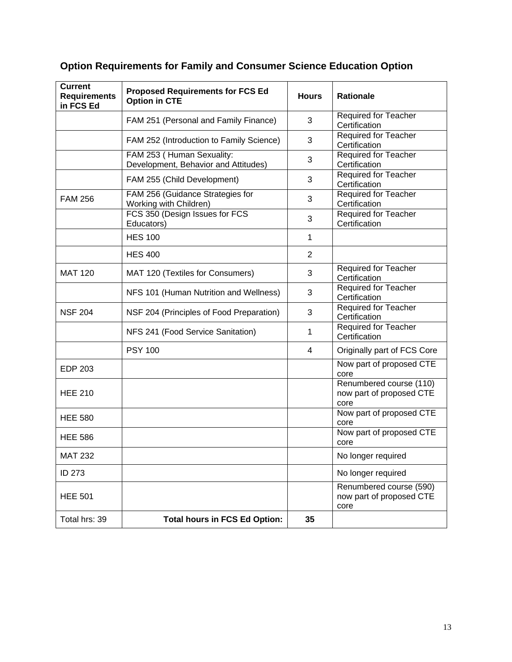# **Option Requirements for Family and Consumer Science Education Option**

| <b>Current</b><br><b>Requirements</b><br>in FCS Ed | <b>Proposed Requirements for FCS Ed</b><br><b>Option in CTE</b>   | <b>Hours</b>   | <b>Rationale</b>                                            |
|----------------------------------------------------|-------------------------------------------------------------------|----------------|-------------------------------------------------------------|
|                                                    | FAM 251 (Personal and Family Finance)                             | 3              | Required for Teacher<br>Certification                       |
|                                                    | FAM 252 (Introduction to Family Science)                          | 3              | <b>Required for Teacher</b><br>Certification                |
|                                                    | FAM 253 (Human Sexuality:<br>Development, Behavior and Attitudes) | 3              | <b>Required for Teacher</b><br>Certification                |
|                                                    | FAM 255 (Child Development)                                       | 3              | Required for Teacher<br>Certification                       |
| <b>FAM 256</b>                                     | FAM 256 (Guidance Strategies for<br>Working with Children)        | 3              | <b>Required for Teacher</b><br>Certification                |
|                                                    | FCS 350 (Design Issues for FCS<br>Educators)                      | 3              | <b>Required for Teacher</b><br>Certification                |
|                                                    | <b>HES 100</b>                                                    | 1              |                                                             |
|                                                    | <b>HES 400</b>                                                    | $\overline{2}$ |                                                             |
| <b>MAT 120</b>                                     | MAT 120 (Textiles for Consumers)                                  | 3              | <b>Required for Teacher</b><br>Certification                |
|                                                    | NFS 101 (Human Nutrition and Wellness)                            | 3              | <b>Required for Teacher</b><br>Certification                |
| <b>NSF 204</b>                                     | NSF 204 (Principles of Food Preparation)                          | 3              | <b>Required for Teacher</b><br>Certification                |
|                                                    | NFS 241 (Food Service Sanitation)                                 | 1              | Required for Teacher<br>Certification                       |
|                                                    | <b>PSY 100</b>                                                    | 4              | Originally part of FCS Core                                 |
| <b>EDP 203</b>                                     |                                                                   |                | Now part of proposed CTE<br>core                            |
| <b>HEE 210</b>                                     |                                                                   |                | Renumbered course (110)<br>now part of proposed CTE<br>core |
| <b>HEE 580</b>                                     |                                                                   |                | Now part of proposed CTE<br>core                            |
| <b>HEE 586</b>                                     |                                                                   |                | Now part of proposed CTE<br>core                            |
| <b>MAT 232</b>                                     |                                                                   |                | No longer required                                          |
| <b>ID 273</b>                                      |                                                                   |                | No longer required                                          |
| <b>HEE 501</b>                                     |                                                                   |                | Renumbered course (590)<br>now part of proposed CTE<br>core |
| Total hrs: 39                                      | <b>Total hours in FCS Ed Option:</b>                              | 35             |                                                             |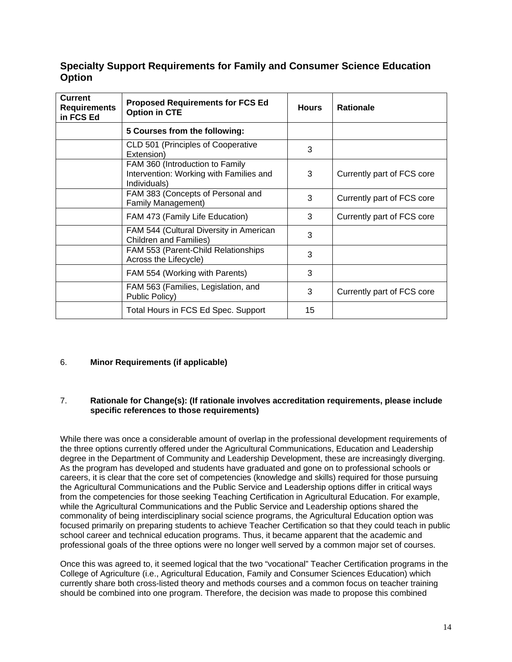### **Specialty Support Requirements for Family and Consumer Science Education Option**

| <b>Current</b><br><b>Requirements</b><br>in FCS Ed | <b>Proposed Requirements for FCS Ed</b><br><b>Option in CTE</b>                            | <b>Hours</b> | <b>Rationale</b>           |
|----------------------------------------------------|--------------------------------------------------------------------------------------------|--------------|----------------------------|
|                                                    | 5 Courses from the following:                                                              |              |                            |
|                                                    | CLD 501 (Principles of Cooperative<br>Extension)                                           | 3            |                            |
|                                                    | FAM 360 (Introduction to Family<br>Intervention: Working with Families and<br>Individuals) | 3            | Currently part of FCS core |
|                                                    | FAM 383 (Concepts of Personal and<br>Family Management)                                    | 3            | Currently part of FCS core |
|                                                    | FAM 473 (Family Life Education)                                                            | 3            | Currently part of FCS core |
|                                                    | FAM 544 (Cultural Diversity in American<br><b>Children and Families)</b>                   | 3            |                            |
|                                                    | FAM 553 (Parent-Child Relationships<br>Across the Lifecycle)                               | 3            |                            |
|                                                    | FAM 554 (Working with Parents)                                                             | 3            |                            |
|                                                    | FAM 563 (Families, Legislation, and<br>Public Policy)                                      | 3            | Currently part of FCS core |
|                                                    | Total Hours in FCS Ed Spec. Support                                                        | 15           |                            |

#### 6. **Minor Requirements (if applicable)**

#### 7. **Rationale for Change(s): (If rationale involves accreditation requirements, please include specific references to those requirements)**

While there was once a considerable amount of overlap in the professional development requirements of the three options currently offered under the Agricultural Communications, Education and Leadership degree in the Department of Community and Leadership Development, these are increasingly diverging. As the program has developed and students have graduated and gone on to professional schools or careers, it is clear that the core set of competencies (knowledge and skills) required for those pursuing the Agricultural Communications and the Public Service and Leadership options differ in critical ways from the competencies for those seeking Teaching Certification in Agricultural Education. For example, while the Agricultural Communications and the Public Service and Leadership options shared the commonality of being interdisciplinary social science programs, the Agricultural Education option was focused primarily on preparing students to achieve Teacher Certification so that they could teach in public school career and technical education programs. Thus, it became apparent that the academic and professional goals of the three options were no longer well served by a common major set of courses.

Once this was agreed to, it seemed logical that the two "vocational" Teacher Certification programs in the College of Agriculture (i.e., Agricultural Education, Family and Consumer Sciences Education) which currently share both cross-listed theory and methods courses and a common focus on teacher training should be combined into one program. Therefore, the decision was made to propose this combined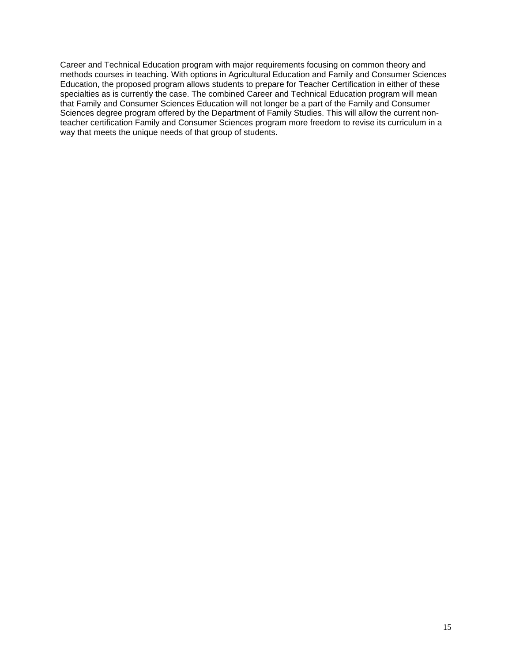Career and Technical Education program with major requirements focusing on common theory and methods courses in teaching. With options in Agricultural Education and Family and Consumer Sciences Education, the proposed program allows students to prepare for Teacher Certification in either of these specialties as is currently the case. The combined Career and Technical Education program will mean that Family and Consumer Sciences Education will not longer be a part of the Family and Consumer Sciences degree program offered by the Department of Family Studies. This will allow the current nonteacher certification Family and Consumer Sciences program more freedom to revise its curriculum in a way that meets the unique needs of that group of students.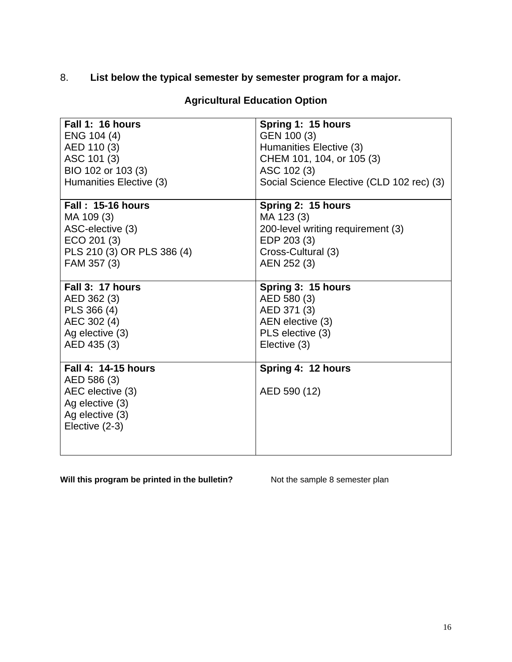# 8. **List below the typical semester by semester program for a major.**

| Fall 1: 16 hours                                                                                               | Spring 1: 15 hours                        |
|----------------------------------------------------------------------------------------------------------------|-------------------------------------------|
| ENG 104 (4)                                                                                                    | GEN 100 (3)                               |
| AED 110 (3)                                                                                                    | Humanities Elective (3)                   |
| ASC 101 (3)                                                                                                    | CHEM 101, 104, or 105 (3)                 |
| BIO 102 or 103 (3)                                                                                             | ASC 102 (3)                               |
| Humanities Elective (3)                                                                                        | Social Science Elective (CLD 102 rec) (3) |
| <b>Fall: 15-16 hours</b>                                                                                       | Spring 2: 15 hours                        |
| MA 109 (3)                                                                                                     | MA 123 (3)                                |
| ASC-elective (3)                                                                                               | 200-level writing requirement (3)         |
| ECO 201 (3)                                                                                                    | EDP 203 (3)                               |
| PLS 210 (3) OR PLS 386 (4)                                                                                     | Cross-Cultural (3)                        |
| FAM 357 (3)                                                                                                    | AEN 252 (3)                               |
| Fall 3: 17 hours                                                                                               | Spring 3: 15 hours                        |
| AED 362 (3)                                                                                                    | AED 580 (3)                               |
| PLS 366 (4)                                                                                                    | AED 371 (3)                               |
| AEC 302 (4)                                                                                                    | AEN elective (3)                          |
| Ag elective (3)                                                                                                | PLS elective (3)                          |
| AED 435 (3)                                                                                                    | Elective (3)                              |
| Fall 4: 14-15 hours<br>AED 586 (3)<br>AEC elective (3)<br>Ag elective (3)<br>Ag elective (3)<br>Elective (2-3) | Spring 4: 12 hours<br>AED 590 (12)        |

# **Agricultural Education Option**

**Will this program be printed in the bulletin?** Not the sample 8 semester plan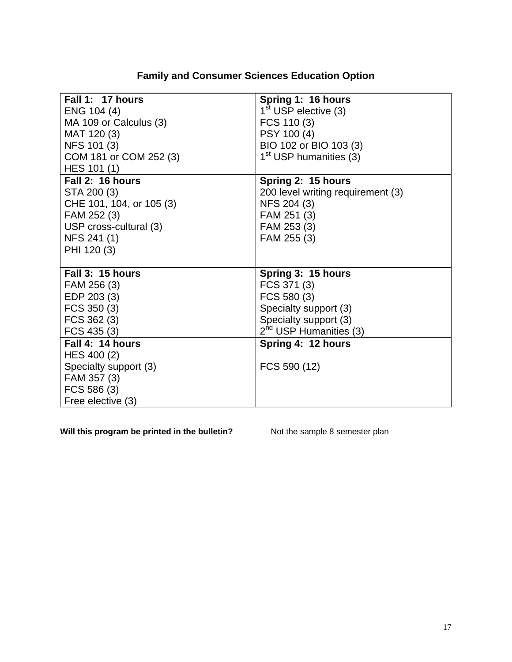| <b>Family and Consumer Sciences Education Option</b> |  |
|------------------------------------------------------|--|
|                                                      |  |

| Fall 1: 17 hours         | Spring 1: 16 hours                 |
|--------------------------|------------------------------------|
| ENG 104 (4)              | $1st$ USP elective (3)             |
| MA 109 or Calculus (3)   | FCS 110 (3)                        |
| MAT 120 (3)              | PSY 100 (4)                        |
| NFS 101 (3)              | BIO 102 or BIO 103 (3)             |
| COM 181 or COM 252 (3)   | 1 <sup>st</sup> USP humanities (3) |
| HES 101 (1)              |                                    |
| Fall 2: 16 hours         | Spring 2: 15 hours                 |
| STA 200 (3)              | 200 level writing requirement (3)  |
| CHE 101, 104, or 105 (3) | NFS 204 (3)                        |
| FAM 252 (3)              | FAM 251 (3)                        |
| USP cross-cultural (3)   | FAM 253 (3)                        |
| NFS 241 (1)              | FAM 255 (3)                        |
| PHI 120 (3)              |                                    |
|                          |                                    |
| Fall 3: 15 hours         | Spring 3: 15 hours                 |
| FAM 256 (3)              | FCS 371 (3)                        |
| EDP 203 (3)              | FCS 580 (3)                        |
| FCS 350 (3)              | Specialty support (3)              |
| FCS 362 (3)              | Specialty support (3)              |
| FCS 435 (3)              | $2^{nd}$ USP Humanities (3)        |
| Fall 4: 14 hours         | Spring 4: 12 hours                 |
| HES 400 (2)              |                                    |
| Specialty support (3)    | FCS 590 (12)                       |
| FAM 357 (3)              |                                    |
| FCS 586 (3)              |                                    |
| Free elective (3)        |                                    |

**Will this program be printed in the bulletin?** Not the sample 8 semester plan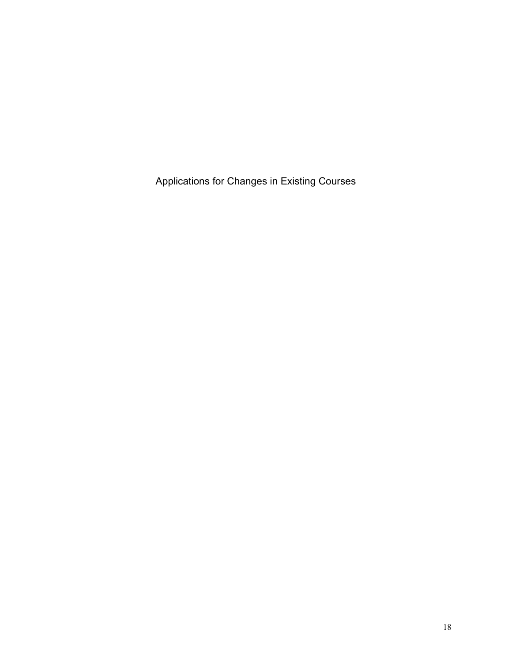Applications for Changes in Existing Courses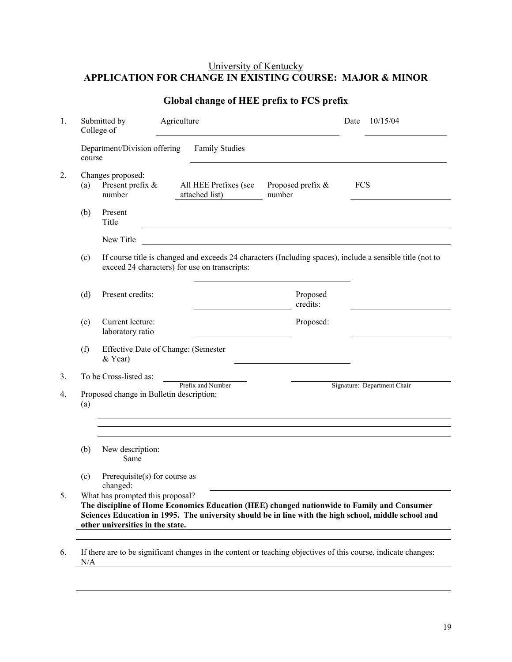## University of Kentucky **APPLICATION FOR CHANGE IN EXISTING COURSE: MAJOR & MINOR**

| 1.               |        | Agriculture<br>Submitted by<br>College of       |  | Date                                          | 10/15/04                                                                                                  |            |                             |
|------------------|--------|-------------------------------------------------|--|-----------------------------------------------|-----------------------------------------------------------------------------------------------------------|------------|-----------------------------|
|                  | course | Department/Division offering                    |  | <b>Family Studies</b>                         |                                                                                                           |            |                             |
| $\overline{2}$ . | (a)    | Changes proposed:<br>Present prefix &<br>number |  | All HEE Prefixes (see<br>attached list)       | Proposed prefix &<br>number                                                                               | <b>FCS</b> |                             |
|                  | (b)    | Present<br>Title                                |  |                                               |                                                                                                           |            |                             |
|                  |        | New Title                                       |  |                                               |                                                                                                           |            |                             |
|                  | (c)    |                                                 |  | exceed 24 characters) for use on transcripts: | If course title is changed and exceeds 24 characters (Including spaces), include a sensible title (not to |            |                             |
|                  | (d)    | Present credits:                                |  |                                               | Proposed<br>credits:                                                                                      |            |                             |
|                  | (e)    | Current lecture:<br>laboratory ratio            |  |                                               | Proposed:                                                                                                 |            |                             |
|                  | (f)    | Effective Date of Change: (Semester<br>& Year)  |  |                                               |                                                                                                           |            |                             |
| 3.               |        | To be Cross-listed as:                          |  |                                               |                                                                                                           |            |                             |
| 4.               | (a)    | Proposed change in Bulletin description:        |  | Prefix and Number                             |                                                                                                           |            | Signature: Department Chair |
|                  |        |                                                 |  |                                               |                                                                                                           |            |                             |
|                  | (b)    | New description:<br>Same                        |  |                                               |                                                                                                           |            |                             |
|                  | (c)    | Prerequisite(s) for course as<br>changed:       |  |                                               |                                                                                                           |            |                             |
| 5.               |        | What has prompted this proposal?                |  |                                               | The discipline of Home Economics Education (HEE) changed nationwide to Family and Consumer                |            |                             |
|                  |        | other universities in the state.                |  |                                               | Sciences Education in 1995. The university should be in line with the high school, middle school and      |            |                             |
|                  |        |                                                 |  |                                               |                                                                                                           |            |                             |

## **Global change of HEE prefix to FCS prefix**

6. If there are to be significant changes in the content or teaching objectives of this course, indicate changes:  $N/A$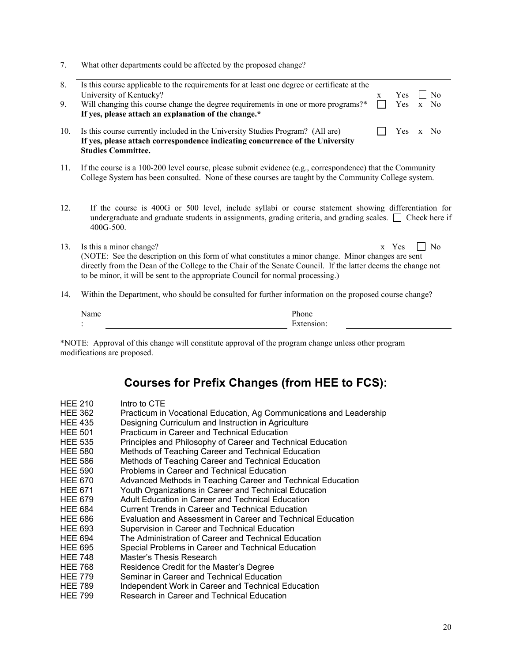|  | What other departments could be affected by the proposed change? |  |  |  |
|--|------------------------------------------------------------------|--|--|--|
|  |                                                                  |  |  |  |

| 8.<br>9. | Is this course applicable to the requirements for at least one degree or certificate at the<br>University of Kentucky?<br>Will changing this course change the degree requirements in one or more programs?*<br>If yes, please attach an explanation of the change.*                                                             | X | Yes<br>Yes | $\mathbf{x}$ | N <sub>0</sub><br>No |
|----------|----------------------------------------------------------------------------------------------------------------------------------------------------------------------------------------------------------------------------------------------------------------------------------------------------------------------------------|---|------------|--------------|----------------------|
| 10.      | Is this course currently included in the University Studies Program? (All are)<br>If yes, please attach correspondence indicating concurrence of the University<br><b>Studies Committee.</b>                                                                                                                                     |   | Yes        | $\mathbf{x}$ | N <sub>0</sub>       |
| 11.      | If the course is a 100-200 level course, please submit evidence (e.g., correspondence) that the Community<br>College System has been consulted. None of these courses are taught by the Community College system.                                                                                                                |   |            |              |                      |
| 12.      | If the course is 400G or 500 level, include syllabi or course statement showing differentiation for<br>undergraduate and graduate students in assignments, grading criteria, and grading scales. $\Box$ Check here if<br>400G-500.                                                                                               |   |            |              |                      |
| 13.      | Is this a minor change?<br>(NOTE: See the description on this form of what constitutes a minor change. Minor changes are sent<br>directly from the Dean of the College to the Chair of the Senate Council. If the latter deems the change not<br>to be minor, it will be sent to the appropriate Council for normal processing.) |   | x Yes      |              | N <sub>0</sub>       |
| 14.      | Within the Department, who should be consulted for further information on the proposed course change?                                                                                                                                                                                                                            |   |            |              |                      |

|  | _____  |  |
|--|--------|--|
|  | –<br>. |  |
|  |        |  |

\*NOTE: Approval of this change will constitute approval of the program change unless other program modifications are proposed.

# **Courses for Prefix Changes (from HEE to FCS):**

| <b>HEE 210</b> | Intro to CTE                                                        |
|----------------|---------------------------------------------------------------------|
| <b>HEE 362</b> | Practicum in Vocational Education, Ag Communications and Leadership |
| <b>HEE 435</b> | Designing Curriculum and Instruction in Agriculture                 |
| <b>HEE 501</b> | Practicum in Career and Technical Education                         |
| <b>HEE 535</b> | Principles and Philosophy of Career and Technical Education         |
| <b>HEE 580</b> | Methods of Teaching Career and Technical Education                  |
| <b>HEE 586</b> | Methods of Teaching Career and Technical Education                  |
| <b>HEE 590</b> | Problems in Career and Technical Education                          |
| <b>HEE 670</b> | Advanced Methods in Teaching Career and Technical Education         |
| <b>HEE 671</b> | Youth Organizations in Career and Technical Education               |
| <b>HEE 679</b> | Adult Education in Career and Technical Education                   |
| <b>HEE 684</b> | Current Trends in Career and Technical Education                    |
| <b>HEE 686</b> | Evaluation and Assessment in Career and Technical Education         |
| <b>HEE 693</b> | Supervision in Career and Technical Education                       |
| <b>HEE 694</b> | The Administration of Career and Technical Education                |
| <b>HEE 695</b> | Special Problems in Career and Technical Education                  |
| <b>HEE 748</b> | Master's Thesis Research                                            |
| <b>HEE 768</b> | Residence Credit for the Master's Degree                            |
| <b>HEE 779</b> | Seminar in Career and Technical Education                           |
| <b>HEE 789</b> | Independent Work in Career and Technical Education                  |
| <b>HEE 799</b> | Research in Career and Technical Education                          |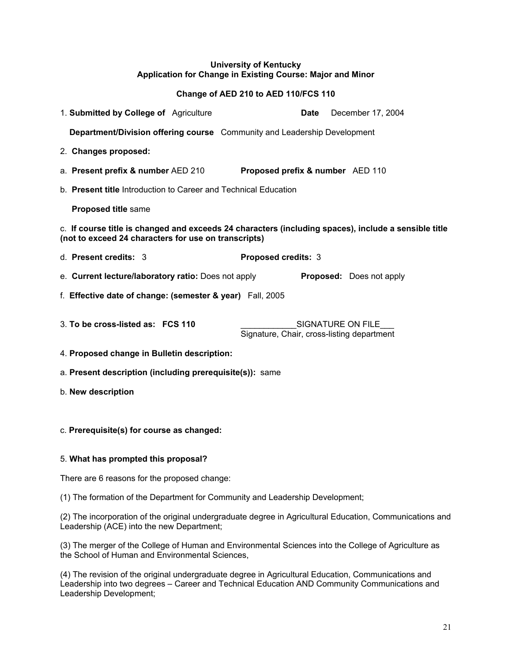#### **University of Kentucky Application for Change in Existing Course: Major and Minor**

#### **Change of AED 210 to AED 110/FCS 110**

| 1. Submitted by College of Agriculture                                                                                                                       | December 17, 2004<br>Date                                       |  |  |  |  |
|--------------------------------------------------------------------------------------------------------------------------------------------------------------|-----------------------------------------------------------------|--|--|--|--|
| <b>Department/Division offering course</b> Community and Leadership Development                                                                              |                                                                 |  |  |  |  |
| 2. Changes proposed:                                                                                                                                         |                                                                 |  |  |  |  |
| a. Present prefix & number AED 210                                                                                                                           | Proposed prefix & number AED 110                                |  |  |  |  |
| b. <b>Present title</b> Introduction to Career and Technical Education                                                                                       |                                                                 |  |  |  |  |
| <b>Proposed title same</b>                                                                                                                                   |                                                                 |  |  |  |  |
| c. If course title is changed and exceeds 24 characters (including spaces), include a sensible title<br>(not to exceed 24 characters for use on transcripts) |                                                                 |  |  |  |  |
| d. Present credits: 3                                                                                                                                        | Proposed credits: 3                                             |  |  |  |  |
| e. Current lecture/laboratory ratio: Does not apply                                                                                                          | <b>Proposed:</b> Does not apply                                 |  |  |  |  |
| f. Effective date of change: (semester & year) Fall, 2005                                                                                                    |                                                                 |  |  |  |  |
| 3. To be cross-listed as: FCS 110                                                                                                                            | SIGNATURE ON FILE<br>Signature, Chair, cross-listing department |  |  |  |  |
| 4. Proposed change in Bulletin description:                                                                                                                  |                                                                 |  |  |  |  |

a. **Present description (including prerequisite(s)):** same

b. **New description**

#### c. **Prerequisite(s) for course as changed:**

#### 5. **What has prompted this proposal?**

There are 6 reasons for the proposed change:

(1) The formation of the Department for Community and Leadership Development;

(2) The incorporation of the original undergraduate degree in Agricultural Education, Communications and Leadership (ACE) into the new Department;

(3) The merger of the College of Human and Environmental Sciences into the College of Agriculture as the School of Human and Environmental Sciences,

(4) The revision of the original undergraduate degree in Agricultural Education, Communications and Leadership into two degrees – Career and Technical Education AND Community Communications and Leadership Development;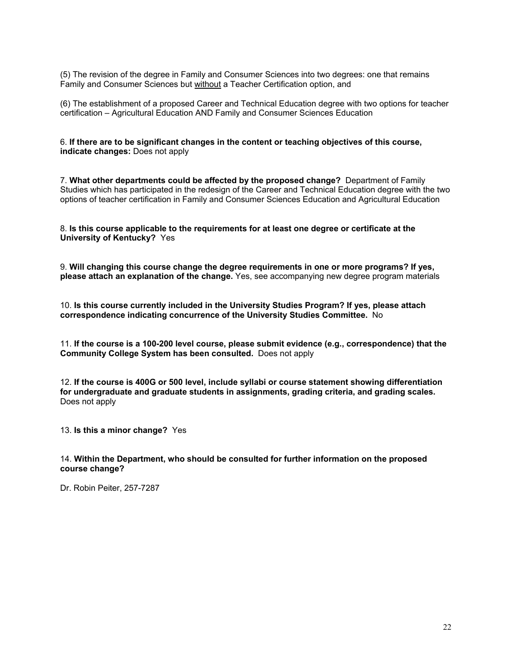(5) The revision of the degree in Family and Consumer Sciences into two degrees: one that remains Family and Consumer Sciences but without a Teacher Certification option, and

(6) The establishment of a proposed Career and Technical Education degree with two options for teacher certification – Agricultural Education AND Family and Consumer Sciences Education

6. **If there are to be significant changes in the content or teaching objectives of this course, indicate changes:** Does not apply

7. **What other departments could be affected by the proposed change?** Department of Family Studies which has participated in the redesign of the Career and Technical Education degree with the two options of teacher certification in Family and Consumer Sciences Education and Agricultural Education

#### 8. **Is this course applicable to the requirements for at least one degree or certificate at the University of Kentucky?** Yes

9. **Will changing this course change the degree requirements in one or more programs? If yes, please attach an explanation of the change.** Yes, see accompanying new degree program materials

10. **Is this course currently included in the University Studies Program? If yes, please attach correspondence indicating concurrence of the University Studies Committee.** No

11. **If the course is a 100-200 level course, please submit evidence (e.g., correspondence) that the Community College System has been consulted.** Does not apply

12. **If the course is 400G or 500 level, include syllabi or course statement showing differentiation for undergraduate and graduate students in assignments, grading criteria, and grading scales.** Does not apply

13. **Is this a minor change?** Yes

#### 14. **Within the Department, who should be consulted for further information on the proposed course change?**

Dr. Robin Peiter, 257-7287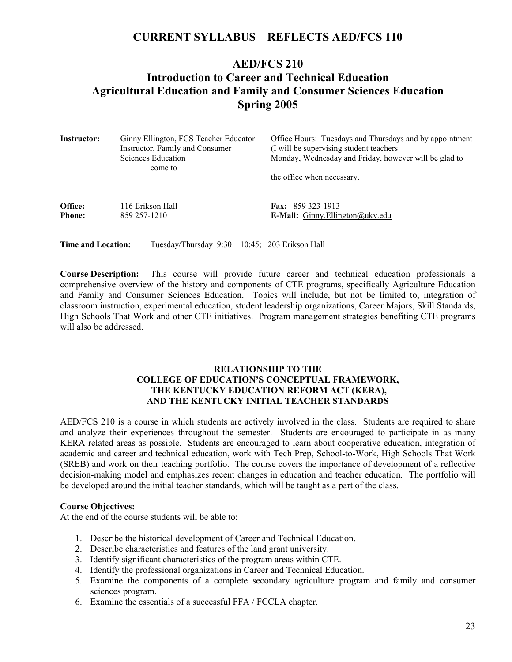# **CURRENT SYLLABUS – REFLECTS AED/FCS 110**

# **AED/FCS 210 Introduction to Career and Technical Education Agricultural Education and Family and Consumer Sciences Education Spring 2005**

| <b>Instructor:</b>        | Ginny Ellington, FCS Teacher Educator<br>Instructor, Family and Consumer<br>Sciences Education<br>come to | Office Hours: Tuesdays and Thursdays and by appointment<br>(I will be supervising student teachers)<br>Monday, Wednesday and Friday, however will be glad to |
|---------------------------|-----------------------------------------------------------------------------------------------------------|--------------------------------------------------------------------------------------------------------------------------------------------------------------|
|                           |                                                                                                           | the office when necessary.                                                                                                                                   |
| Office:                   | 116 Erikson Hall                                                                                          | <b>Fax:</b> 859 323-1913                                                                                                                                     |
| <b>Phone:</b>             | 859 257-1210                                                                                              | <b>E-Mail:</b> Ginny. Ellington $\omega$ uky. edu                                                                                                            |
| <b>Time and Location:</b> | Tuesday/Thursday 9:30 – 10:45; 203 Erikson Hall                                                           |                                                                                                                                                              |

**Course Description:** This course will provide future career and technical education professionals a comprehensive overview of the history and components of CTE programs, specifically Agriculture Education and Family and Consumer Sciences Education. Topics will include, but not be limited to, integration of classroom instruction, experimental education, student leadership organizations, Career Majors, Skill Standards, High Schools That Work and other CTE initiatives. Program management strategies benefiting CTE programs will also be addressed.

#### **RELATIONSHIP TO THE COLLEGE OF EDUCATION'S CONCEPTUAL FRAMEWORK, THE KENTUCKY EDUCATION REFORM ACT (KERA), AND THE KENTUCKY INITIAL TEACHER STANDARDS**

AED/FCS 210 is a course in which students are actively involved in the class. Students are required to share and analyze their experiences throughout the semester. Students are encouraged to participate in as many KERA related areas as possible. Students are encouraged to learn about cooperative education, integration of academic and career and technical education, work with Tech Prep, School-to-Work, High Schools That Work (SREB) and work on their teaching portfolio. The course covers the importance of development of a reflective decision-making model and emphasizes recent changes in education and teacher education. The portfolio will be developed around the initial teacher standards, which will be taught as a part of the class.

#### **Course Objectives:**

At the end of the course students will be able to:

- 1. Describe the historical development of Career and Technical Education.
- 2. Describe characteristics and features of the land grant university.
- 3. Identify significant characteristics of the program areas within CTE.
- 4. Identify the professional organizations in Career and Technical Education.
- 5. Examine the components of a complete secondary agriculture program and family and consumer sciences program.
- 6. Examine the essentials of a successful FFA / FCCLA chapter.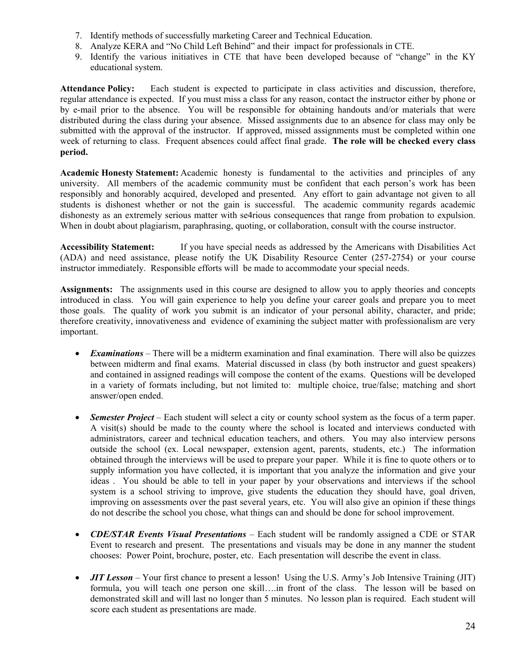- 7. Identify methods of successfully marketing Career and Technical Education.
- 8. Analyze KERA and "No Child Left Behind" and their impact for professionals in CTE.
- 9. Identify the various initiatives in CTE that have been developed because of "change" in the KY educational system.

**Attendance Policy:** Each student is expected to participate in class activities and discussion, therefore, regular attendance is expected. If you must miss a class for any reason, contact the instructor either by phone or by e-mail prior to the absence. You will be responsible for obtaining handouts and/or materials that were distributed during the class during your absence. Missed assignments due to an absence for class may only be submitted with the approval of the instructor. If approved, missed assignments must be completed within one week of returning to class. Frequent absences could affect final grade. **The role will be checked every class period.** 

**Academic Honesty Statement:** Academic honesty is fundamental to the activities and principles of any university. All members of the academic community must be confident that each person's work has been responsibly and honorably acquired, developed and presented. Any effort to gain advantage not given to all students is dishonest whether or not the gain is successful. The academic community regards academic dishonesty as an extremely serious matter with se4rious consequences that range from probation to expulsion. When in doubt about plagiarism, paraphrasing, quoting, or collaboration, consult with the course instructor.

**Accessibility Statement:** If you have special needs as addressed by the Americans with Disabilities Act (ADA) and need assistance, please notify the UK Disability Resource Center (257-2754) or your course instructor immediately. Responsible efforts will be made to accommodate your special needs.

**Assignments:** The assignments used in this course are designed to allow you to apply theories and concepts introduced in class. You will gain experience to help you define your career goals and prepare you to meet those goals. The quality of work you submit is an indicator of your personal ability, character, and pride; therefore creativity, innovativeness and evidence of examining the subject matter with professionalism are very important.

- *Examinations* There will be a midterm examination and final examination. There will also be quizzes between midterm and final exams. Material discussed in class (by both instructor and guest speakers) and contained in assigned readings will compose the content of the exams. Questions will be developed in a variety of formats including, but not limited to: multiple choice, true/false; matching and short answer/open ended.
- *Semester Project* Each student will select a city or county school system as the focus of a term paper. A visit(s) should be made to the county where the school is located and interviews conducted with administrators, career and technical education teachers, and others. You may also interview persons outside the school (ex. Local newspaper, extension agent, parents, students, etc.) The information obtained through the interviews will be used to prepare your paper. While it is fine to quote others or to supply information you have collected, it is important that you analyze the information and give your ideas . You should be able to tell in your paper by your observations and interviews if the school system is a school striving to improve, give students the education they should have, goal driven, improving on assessments over the past several years, etc. You will also give an opinion if these things do not describe the school you chose, what things can and should be done for school improvement.
- *CDE/STAR Events Visual Presentations* Each student will be randomly assigned a CDE or STAR Event to research and present. The presentations and visuals may be done in any manner the student chooses: Power Point, brochure, poster, etc. Each presentation will describe the event in class.
- *JIT Lesson* Your first chance to present a lesson! Using the U.S. Army's Job Intensive Training (JIT) formula, you will teach one person one skill….in front of the class. The lesson will be based on demonstrated skill and will last no longer than 5 minutes. No lesson plan is required. Each student will score each student as presentations are made.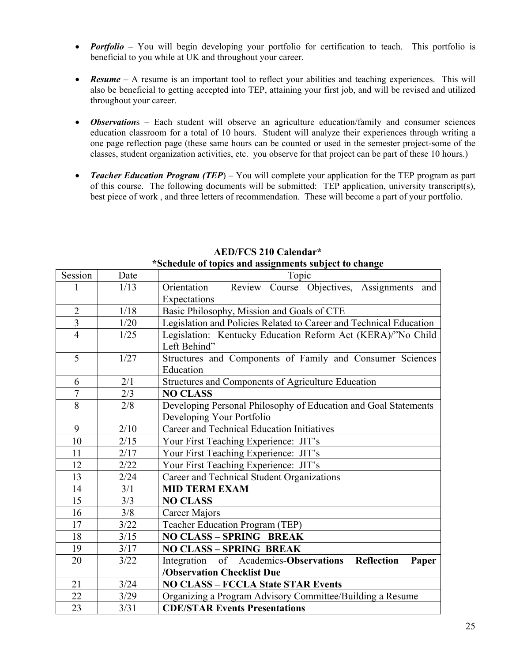- *Portfolio* You will begin developing your portfolio for certification to teach. This portfolio is beneficial to you while at UK and throughout your career.
- **Resume** A resume is an important tool to reflect your abilities and teaching experiences. This will also be beneficial to getting accepted into TEP, attaining your first job, and will be revised and utilized throughout your career.
- *Observation*s Each student will observe an agriculture education/family and consumer sciences education classroom for a total of 10 hours. Student will analyze their experiences through writing a one page reflection page (these same hours can be counted or used in the semester project-some of the classes, student organization activities, etc. you observe for that project can be part of these 10 hours.)
- *Teacher Education Program (TEP)* You will complete your application for the TEP program as part of this course. The following documents will be submitted: TEP application, university transcript(s), best piece of work , and three letters of recommendation. These will become a part of your portfolio.

| Session        | Date   | Topic                                                              |  |  |
|----------------|--------|--------------------------------------------------------------------|--|--|
| 1              | 1/13   | Orientation - Review Course Objectives, Assignments<br>and         |  |  |
|                |        | Expectations                                                       |  |  |
| $\overline{2}$ | 1/18   | Basic Philosophy, Mission and Goals of CTE                         |  |  |
| $\overline{3}$ | 1/20   | Legislation and Policies Related to Career and Technical Education |  |  |
| $\overline{4}$ | 1/25   | Legislation: Kentucky Education Reform Act (KERA)/"No Child        |  |  |
|                |        | Left Behind"                                                       |  |  |
| 5              | 1/27   | Structures and Components of Family and Consumer Sciences          |  |  |
|                |        | Education                                                          |  |  |
| 6              | 2/1    | Structures and Components of Agriculture Education                 |  |  |
| $\overline{7}$ | 2/3    | <b>NO CLASS</b>                                                    |  |  |
| 8              | 2/8    | Developing Personal Philosophy of Education and Goal Statements    |  |  |
|                |        | Developing Your Portfolio                                          |  |  |
| 9              | 2/10   | Career and Technical Education Initiatives                         |  |  |
| 10             | 2/15   | Your First Teaching Experience: JIT's                              |  |  |
| 11             | 2/17   | Your First Teaching Experience: JIT's                              |  |  |
| 12             | 2/22   | Your First Teaching Experience: JIT's                              |  |  |
| 13             | 2/24   | Career and Technical Student Organizations                         |  |  |
| 14             | 3/1    | <b>MID TERM EXAM</b>                                               |  |  |
| 15             | 3/3    | <b>NO CLASS</b>                                                    |  |  |
| 16             | 3/8    | Career Majors                                                      |  |  |
| 17             | 3/22   | Teacher Education Program (TEP)                                    |  |  |
| 18             | $3/15$ | <b>NO CLASS - SPRING BREAK</b>                                     |  |  |
| 19             | 3/17   | <b>NO CLASS - SPRING BREAK</b>                                     |  |  |
| 20             | 3/22   | Integration of Academics-Observations<br>Reflection<br>Paper       |  |  |
|                |        | <b>/Observation Checklist Due</b>                                  |  |  |
| 21             | 3/24   | <b>NO CLASS - FCCLA State STAR Events</b>                          |  |  |
| 22             | 3/29   | Organizing a Program Advisory Committee/Building a Resume          |  |  |
| 23             | 3/31   | <b>CDE/STAR Events Presentations</b>                               |  |  |

### **AED/FCS 210 Calendar\* \*Schedule of topics and assignments subject to change**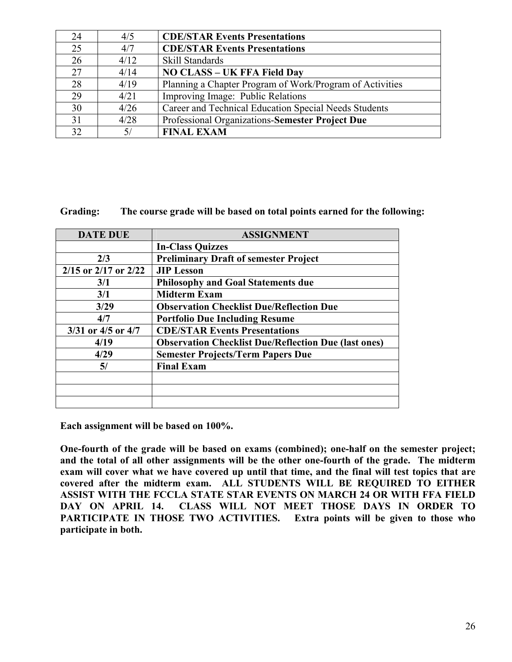| 24 | 4/5  | <b>CDE/STAR Events Presentations</b>                     |
|----|------|----------------------------------------------------------|
| 25 | 4/7  | <b>CDE/STAR Events Presentations</b>                     |
| 26 | 4/12 | Skill Standards                                          |
| 27 | 4/14 | <b>NO CLASS - UK FFA Field Day</b>                       |
| 28 | 4/19 | Planning a Chapter Program of Work/Program of Activities |
| 29 | 4/21 | Improving Image: Public Relations                        |
| 30 | 4/26 | Career and Technical Education Special Needs Students    |
| 31 | 4/28 | Professional Organizations-Semester Project Due          |
| 32 | 5/   | <b>FINAL EXAM</b>                                        |

**Grading: The course grade will be based on total points earned for the following:** 

| <b>DATE DUE</b>            | <b>ASSIGNMENT</b>                                           |
|----------------------------|-------------------------------------------------------------|
|                            | <b>In-Class Quizzes</b>                                     |
| 2/3                        | <b>Preliminary Draft of semester Project</b>                |
| $2/15$ or $2/17$ or $2/22$ | <b>JIP Lesson</b>                                           |
| 3/1                        | <b>Philosophy and Goal Statements due</b>                   |
| 3/1                        | <b>Midterm Exam</b>                                         |
| 3/29                       | <b>Observation Checklist Due/Reflection Due</b>             |
| 4/7                        | <b>Portfolio Due Including Resume</b>                       |
| $3/31$ or $4/5$ or $4/7$   | <b>CDE/STAR Events Presentations</b>                        |
| 4/19                       | <b>Observation Checklist Due/Reflection Due (last ones)</b> |
| 4/29                       | <b>Semester Projects/Term Papers Due</b>                    |
| 5/                         | <b>Final Exam</b>                                           |
|                            |                                                             |
|                            |                                                             |
|                            |                                                             |

**Each assignment will be based on 100%.** 

**One-fourth of the grade will be based on exams (combined); one-half on the semester project; and the total of all other assignments will be the other one-fourth of the grade. The midterm exam will cover what we have covered up until that time, and the final will test topics that are covered after the midterm exam. ALL STUDENTS WILL BE REQUIRED TO EITHER ASSIST WITH THE FCCLA STATE STAR EVENTS ON MARCH 24 OR WITH FFA FIELD DAY ON APRIL 14. CLASS WILL NOT MEET THOSE DAYS IN ORDER TO PARTICIPATE IN THOSE TWO ACTIVITIES. Extra points will be given to those who participate in both.**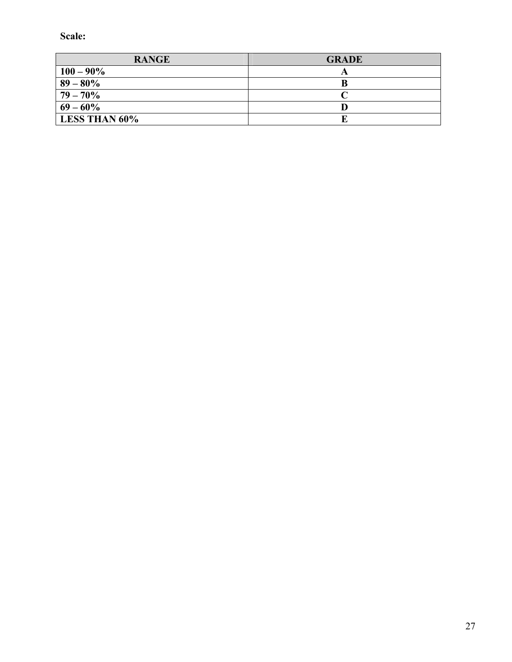**Scale:** 

| <b>RANGE</b>         | <b>GRADE</b> |
|----------------------|--------------|
| $100 - 90\%$         |              |
| $89 - 80\%$          |              |
| $79 - 70\%$          |              |
| $69 - 60\%$          |              |
| <b>LESS THAN 60%</b> |              |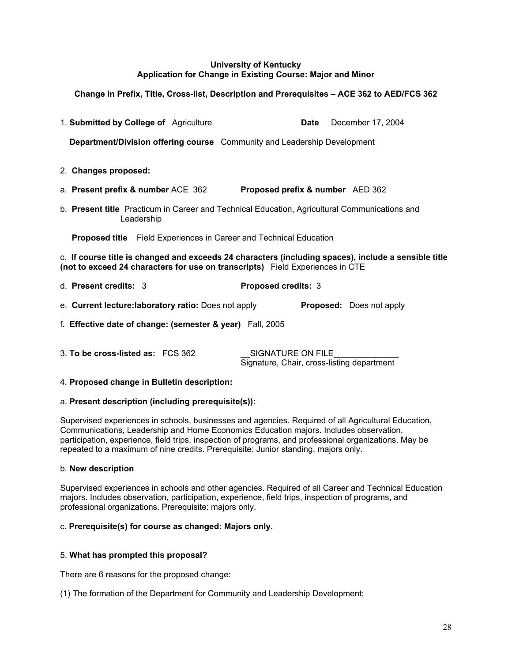#### **University of Kentucky Application for Change in Existing Course: Major and Minor**

## **Change in Prefix, Title, Cross-list, Description and Prerequisites – ACE 362 to AED/FCS 362**

| 1. Submitted by College of Agriculture                                                                                                                                                | Date                             | December 17, 2004               |
|---------------------------------------------------------------------------------------------------------------------------------------------------------------------------------------|----------------------------------|---------------------------------|
| <b>Department/Division offering course</b> Community and Leadership Development                                                                                                       |                                  |                                 |
| 2. Changes proposed:                                                                                                                                                                  |                                  |                                 |
| a. Present prefix & number ACE 362                                                                                                                                                    | Proposed prefix & number AED 362 |                                 |
| b. Present title Practicum in Career and Technical Education, Agricultural Communications and<br>Leadership                                                                           |                                  |                                 |
| <b>Proposed title</b> Field Experiences in Career and Technical Education                                                                                                             |                                  |                                 |
| c. If course title is changed and exceeds 24 characters (including spaces), include a sensible title<br>(not to exceed 24 characters for use on transcripts) Field Experiences in CTE |                                  |                                 |
| d. Present credits: 3                                                                                                                                                                 | Proposed credits: 3              |                                 |
| e. Current lecture: laboratory ratio: Does not apply                                                                                                                                  |                                  | <b>Proposed:</b> Does not apply |
| f. Effective date of change: (semester & year) Fall, 2005                                                                                                                             |                                  |                                 |

3. **To be cross-listed as:** FCS 362 SIGNATURE ON FILE Signature, Chair, cross-listing department

#### 4. **Proposed change in Bulletin description:**

#### a. **Present description (including prerequisite(s)):**

Supervised experiences in schools, businesses and agencies. Required of all Agricultural Education, Communications, Leadership and Home Economics Education majors. Includes observation, participation, experience, field trips, inspection of programs, and professional organizations. May be repeated to a maximum of nine credits. Prerequisite: Junior standing, majors only.

#### b. **New description**

Supervised experiences in schools and other agencies. Required of all Career and Technical Education majors. Includes observation, participation, experience, field trips, inspection of programs, and professional organizations. Prerequisite: majors only.

#### c. **Prerequisite(s) for course as changed: Majors only.**

#### 5. **What has prompted this proposal?**

There are 6 reasons for the proposed change:

(1) The formation of the Department for Community and Leadership Development;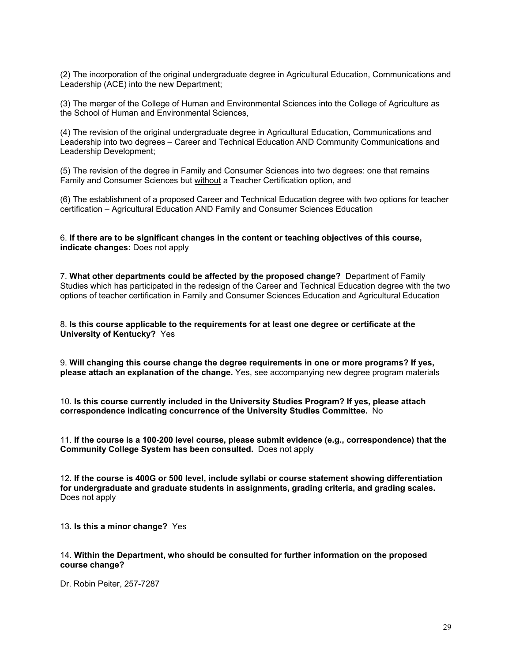(2) The incorporation of the original undergraduate degree in Agricultural Education, Communications and Leadership (ACE) into the new Department;

(3) The merger of the College of Human and Environmental Sciences into the College of Agriculture as the School of Human and Environmental Sciences,

(4) The revision of the original undergraduate degree in Agricultural Education, Communications and Leadership into two degrees – Career and Technical Education AND Community Communications and Leadership Development;

(5) The revision of the degree in Family and Consumer Sciences into two degrees: one that remains Family and Consumer Sciences but without a Teacher Certification option, and

(6) The establishment of a proposed Career and Technical Education degree with two options for teacher certification – Agricultural Education AND Family and Consumer Sciences Education

6. **If there are to be significant changes in the content or teaching objectives of this course, indicate changes:** Does not apply

7. **What other departments could be affected by the proposed change?** Department of Family Studies which has participated in the redesign of the Career and Technical Education degree with the two options of teacher certification in Family and Consumer Sciences Education and Agricultural Education

8. **Is this course applicable to the requirements for at least one degree or certificate at the University of Kentucky?** Yes

9. **Will changing this course change the degree requirements in one or more programs? If yes, please attach an explanation of the change.** Yes, see accompanying new degree program materials

10. **Is this course currently included in the University Studies Program? If yes, please attach correspondence indicating concurrence of the University Studies Committee.** No

11. **If the course is a 100-200 level course, please submit evidence (e.g., correspondence) that the Community College System has been consulted.** Does not apply

12. **If the course is 400G or 500 level, include syllabi or course statement showing differentiation for undergraduate and graduate students in assignments, grading criteria, and grading scales.** Does not apply

13. **Is this a minor change?** Yes

#### 14. **Within the Department, who should be consulted for further information on the proposed course change?**

Dr. Robin Peiter, 257-7287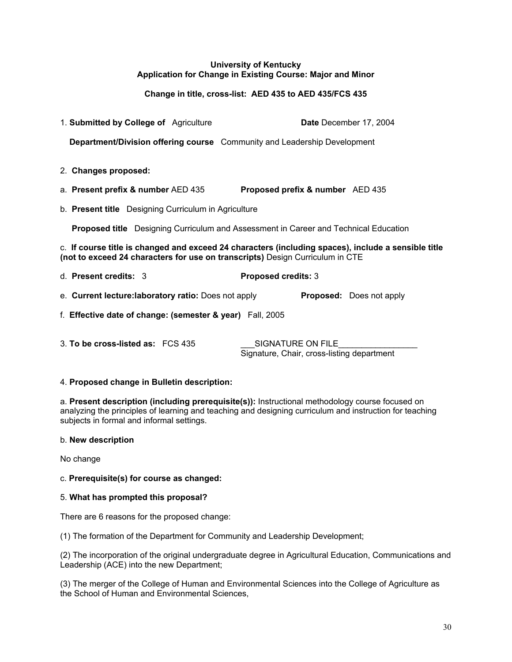#### **University of Kentucky Application for Change in Existing Course: Major and Minor**

#### **Change in title, cross-list: AED 435 to AED 435/FCS 435**

| 1. Submitted by College of Agriculture                                                                                                                                               |                                  | Date December 17, 2004 |                                 |  |
|--------------------------------------------------------------------------------------------------------------------------------------------------------------------------------------|----------------------------------|------------------------|---------------------------------|--|
| Department/Division offering course Community and Leadership Development                                                                                                             |                                  |                        |                                 |  |
|                                                                                                                                                                                      |                                  |                        |                                 |  |
| 2. Changes proposed:                                                                                                                                                                 |                                  |                        |                                 |  |
| a. Present prefix & number AED 435                                                                                                                                                   | Proposed prefix & number AED 435 |                        |                                 |  |
| b. Present title Designing Curriculum in Agriculture                                                                                                                                 |                                  |                        |                                 |  |
| <b>Proposed title</b> Designing Curriculum and Assessment in Career and Technical Education                                                                                          |                                  |                        |                                 |  |
| c. If course title is changed and exceed 24 characters (including spaces), include a sensible title<br>(not to exceed 24 characters for use on transcripts) Design Curriculum in CTE |                                  |                        |                                 |  |
| d. Present credits: 3                                                                                                                                                                | <b>Proposed credits: 3</b>       |                        |                                 |  |
| e. Current lecture: laboratory ratio: Does not apply                                                                                                                                 |                                  |                        | <b>Proposed:</b> Does not apply |  |
| f. Effective date of change: (semester & year) Fall, 2005                                                                                                                            |                                  |                        |                                 |  |
| 3. To be cross-listed as: FCS 435                                                                                                                                                    | SIGNATURE ON FILE                |                        |                                 |  |

# Signature, Chair, cross-listing department

#### 4. **Proposed change in Bulletin description:**

a. **Present description (including prerequisite(s)):** Instructional methodology course focused on analyzing the principles of learning and teaching and designing curriculum and instruction for teaching subjects in formal and informal settings.

#### b. **New description**

No change

#### c. **Prerequisite(s) for course as changed:**

#### 5. **What has prompted this proposal?**

There are 6 reasons for the proposed change:

(1) The formation of the Department for Community and Leadership Development;

(2) The incorporation of the original undergraduate degree in Agricultural Education, Communications and Leadership (ACE) into the new Department;

(3) The merger of the College of Human and Environmental Sciences into the College of Agriculture as the School of Human and Environmental Sciences,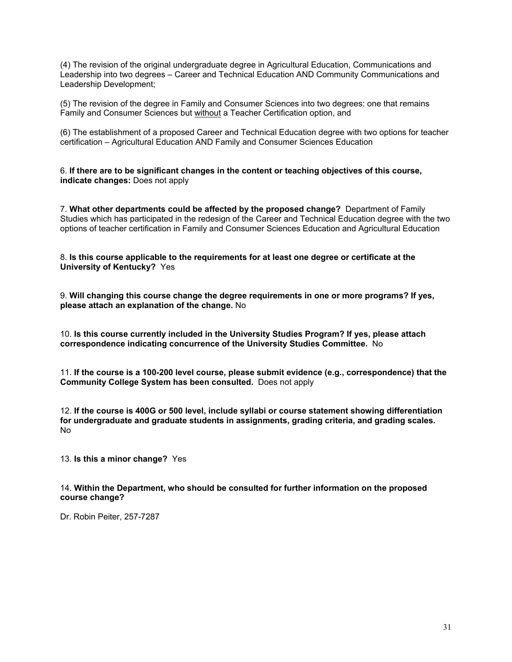(4) The revision of the original undergraduate degree in Agricultural Education, Communications and Leadership into two degrees – Career and Technical Education AND Community Communications and Leadership Development;

(5) The revision of the degree in Family and Consumer Sciences into two degrees: one that remains Family and Consumer Sciences but without a Teacher Certification option, and

(6) The establishment of a proposed Career and Technical Education degree with two options for teacher certification – Agricultural Education AND Family and Consumer Sciences Education

6. **If there are to be significant changes in the content or teaching objectives of this course, indicate changes:** Does not apply

7. **What other departments could be affected by the proposed change?** Department of Family Studies which has participated in the redesign of the Career and Technical Education degree with the two options of teacher certification in Family and Consumer Sciences Education and Agricultural Education

8. **Is this course applicable to the requirements for at least one degree or certificate at the University of Kentucky?** Yes

9. **Will changing this course change the degree requirements in one or more programs? If yes, please attach an explanation of the change.** No

10. **Is this course currently included in the University Studies Program? If yes, please attach correspondence indicating concurrence of the University Studies Committee.** No

11. **If the course is a 100-200 level course, please submit evidence (e.g., correspondence) that the Community College System has been consulted.** Does not apply

12. **If the course is 400G or 500 level, include syllabi or course statement showing differentiation for undergraduate and graduate students in assignments, grading criteria, and grading scales.** No

13. **Is this a minor change?** Yes

14. **Within the Department, who should be consulted for further information on the proposed course change?**

Dr. Robin Peiter, 257-7287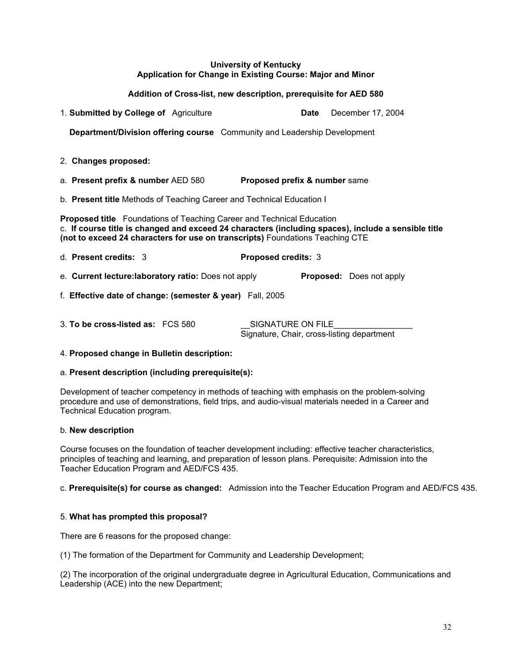#### **University of Kentucky Application for Change in Existing Course: Major and Minor**

#### **Addition of Cross-list, new description, prerequisite for AED 580**

| 1. Submitted by College of Agriculture                                                                                                                                                                                                                               | December 17, 2004<br>Date                                       |  |  |  |
|----------------------------------------------------------------------------------------------------------------------------------------------------------------------------------------------------------------------------------------------------------------------|-----------------------------------------------------------------|--|--|--|
| Department/Division offering course Community and Leadership Development                                                                                                                                                                                             |                                                                 |  |  |  |
| 2. Changes proposed:                                                                                                                                                                                                                                                 |                                                                 |  |  |  |
| a. Present prefix & number AED 580                                                                                                                                                                                                                                   | <b>Proposed prefix &amp; number same</b>                        |  |  |  |
| b. Present title Methods of Teaching Career and Technical Education I                                                                                                                                                                                                |                                                                 |  |  |  |
| <b>Proposed title</b> Foundations of Teaching Career and Technical Education<br>c. If course title is changed and exceed 24 characters (including spaces), include a sensible title<br>(not to exceed 24 characters for use on transcripts) Foundations Teaching CTE |                                                                 |  |  |  |
| d. Present credits: 3                                                                                                                                                                                                                                                | Proposed credits: 3                                             |  |  |  |
| e. Current lecture: laboratory ratio: Does not apply                                                                                                                                                                                                                 | <b>Proposed:</b> Does not apply                                 |  |  |  |
| f. Effective date of change: (semester & year) Fall, 2005                                                                                                                                                                                                            |                                                                 |  |  |  |
| 3. To be cross-listed as: FCS 580                                                                                                                                                                                                                                    | SIGNATURE ON FILE<br>Signature, Chair, cross-listing department |  |  |  |

#### 4. **Proposed change in Bulletin description:**

#### a. **Present description (including prerequisite(s):**

Development of teacher competency in methods of teaching with emphasis on the problem-solving procedure and use of demonstrations, field trips, and audio-visual materials needed in a Career and Technical Education program.

#### b. **New description**

Course focuses on the foundation of teacher development including: effective teacher characteristics, principles of teaching and learning, and preparation of lesson plans. Perequisite: Admission into the Teacher Education Program and AED/FCS 435.

#### c. **Prerequisite(s) for course as changed:** Admission into the Teacher Education Program and AED/FCS 435.

#### 5. **What has prompted this proposal?**

There are 6 reasons for the proposed change:

(1) The formation of the Department for Community and Leadership Development;

(2) The incorporation of the original undergraduate degree in Agricultural Education, Communications and Leadership (ACE) into the new Department;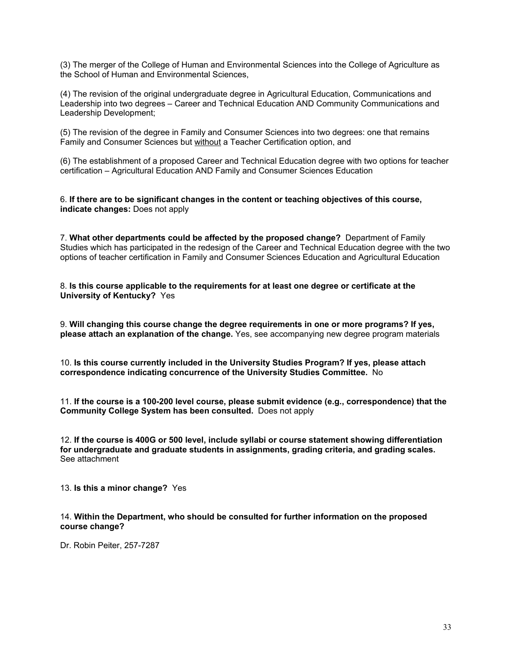(3) The merger of the College of Human and Environmental Sciences into the College of Agriculture as the School of Human and Environmental Sciences,

(4) The revision of the original undergraduate degree in Agricultural Education, Communications and Leadership into two degrees – Career and Technical Education AND Community Communications and Leadership Development;

(5) The revision of the degree in Family and Consumer Sciences into two degrees: one that remains Family and Consumer Sciences but without a Teacher Certification option, and

(6) The establishment of a proposed Career and Technical Education degree with two options for teacher certification – Agricultural Education AND Family and Consumer Sciences Education

6. **If there are to be significant changes in the content or teaching objectives of this course, indicate changes:** Does not apply

7. **What other departments could be affected by the proposed change?** Department of Family Studies which has participated in the redesign of the Career and Technical Education degree with the two options of teacher certification in Family and Consumer Sciences Education and Agricultural Education

8. **Is this course applicable to the requirements for at least one degree or certificate at the University of Kentucky?** Yes

9. **Will changing this course change the degree requirements in one or more programs? If yes, please attach an explanation of the change.** Yes, see accompanying new degree program materials

10. **Is this course currently included in the University Studies Program? If yes, please attach correspondence indicating concurrence of the University Studies Committee.** No

11. **If the course is a 100-200 level course, please submit evidence (e.g., correspondence) that the Community College System has been consulted.** Does not apply

12. **If the course is 400G or 500 level, include syllabi or course statement showing differentiation for undergraduate and graduate students in assignments, grading criteria, and grading scales.** See attachment

13. **Is this a minor change?** Yes

14. **Within the Department, who should be consulted for further information on the proposed course change?**

Dr. Robin Peiter, 257-7287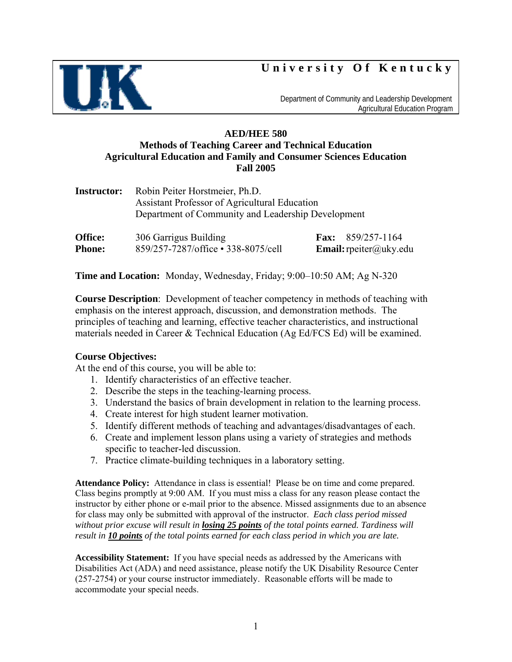# **University Of Kentucky**



 Department of Community and Leadership Development Agricultural Education Program

## **AED/HEE 580 Methods of Teaching Career and Technical Education Agricultural Education and Family and Consumer Sciences Education Fall 2005**

|                     | <b>Instructor:</b> Robin Peiter Horstmeier, Ph.D.<br>Assistant Professor of Agricultural Education<br>Department of Community and Leadership Development |                                                  |
|---------------------|----------------------------------------------------------------------------------------------------------------------------------------------------------|--------------------------------------------------|
| $\bigcap$ $\bigcap$ | $2000 \times 2000$                                                                                                                                       | $\mathbf{E}$ $\Omega E \Omega / \Delta E \pi$ 11 |

| Office:       | 306 Garrigus Building               | <b>Fax:</b> $859/257-1164$    |
|---------------|-------------------------------------|-------------------------------|
| <b>Phone:</b> | 859/257-7287/office • 338-8075/cell | <b>Email:</b> rpeiter@uky.edu |

**Time and Location:** Monday, Wednesday, Friday; 9:00–10:50 AM; Ag N-320

**Course Description**: Development of teacher competency in methods of teaching with emphasis on the interest approach, discussion, and demonstration methods. The principles of teaching and learning, effective teacher characteristics, and instructional materials needed in Career & Technical Education (Ag Ed/FCS Ed) will be examined.

### **Course Objectives:**

At the end of this course, you will be able to:

- 1. Identify characteristics of an effective teacher.
- 2. Describe the steps in the teaching-learning process.
- 3. Understand the basics of brain development in relation to the learning process.
- 4. Create interest for high student learner motivation.
- 5. Identify different methods of teaching and advantages/disadvantages of each.
- 6. Create and implement lesson plans using a variety of strategies and methods specific to teacher-led discussion.
- 7. Practice climate-building techniques in a laboratory setting.

**Attendance Policy:** Attendance in class is essential! Please be on time and come prepared. Class begins promptly at 9:00 AM. If you must miss a class for any reason please contact the instructor by either phone or e-mail prior to the absence. Missed assignments due to an absence for class may only be submitted with approval of the instructor.*Each class period missed without prior excuse will result in losing 25 points of the total points earned. Tardiness will result in 10 points of the total points earned for each class period in which you are late.* 

**Accessibility Statement:** If you have special needs as addressed by the Americans with Disabilities Act (ADA) and need assistance, please notify the UK Disability Resource Center (257-2754) or your course instructor immediately. Reasonable efforts will be made to accommodate your special needs.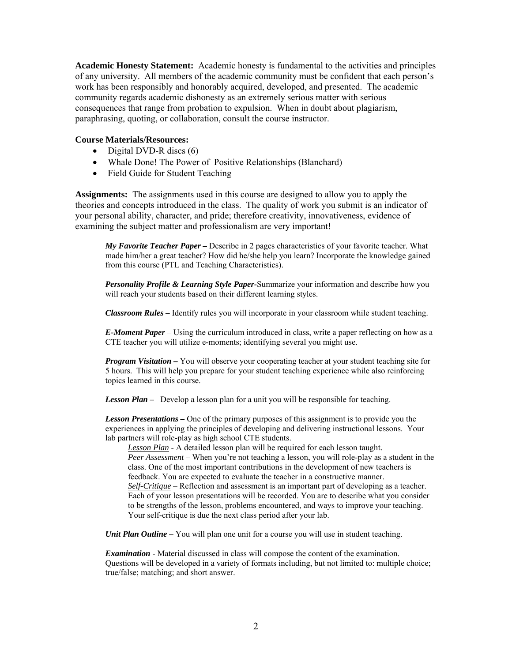**Academic Honesty Statement:** Academic honesty is fundamental to the activities and principles of any university. All members of the academic community must be confident that each person's work has been responsibly and honorably acquired, developed, and presented. The academic community regards academic dishonesty as an extremely serious matter with serious consequences that range from probation to expulsion. When in doubt about plagiarism, paraphrasing, quoting, or collaboration, consult the course instructor.

#### **Course Materials/Resources:**

- Digital DVD-R discs (6)
- Whale Done! The Power of Positive Relationships (Blanchard)
- Field Guide for Student Teaching

**Assignments:** The assignments used in this course are designed to allow you to apply the theories and concepts introduced in the class. The quality of work you submit is an indicator of your personal ability, character, and pride; therefore creativity, innovativeness, evidence of examining the subject matter and professionalism are very important!

*My Favorite Teacher Paper –* Describe in 2 pages characteristics of your favorite teacher. What made him/her a great teacher? How did he/she help you learn? Incorporate the knowledge gained from this course (PTL and Teaching Characteristics).

*Personality Profile & Learning Style Paper-*Summarize your information and describe how you will reach your students based on their different learning styles.

*Classroom Rules –* Identify rules you will incorporate in your classroom while student teaching.

*E-Moment Paper* – Using the curriculum introduced in class, write a paper reflecting on how as a CTE teacher you will utilize e-moments; identifying several you might use.

*Program Visitation – You will observe your cooperating teacher at your student teaching site for* 5 hours. This will help you prepare for your student teaching experience while also reinforcing topics learned in this course.

*Lesson Plan –* Develop a lesson plan for a unit you will be responsible for teaching.

*Lesson Presentations –* One of the primary purposes of this assignment is to provide you the experiences in applying the principles of developing and delivering instructional lessons. Your lab partners will role-play as high school CTE students.

*Lesson Plan* - A detailed lesson plan will be required for each lesson taught. *Peer Assessment* – When you're not teaching a lesson, you will role-play as a student in the class. One of the most important contributions in the development of new teachers is feedback. You are expected to evaluate the teacher in a constructive manner. *Self-Critique* – Reflection and assessment is an important part of developing as a teacher. Each of your lesson presentations will be recorded. You are to describe what you consider to be strengths of the lesson, problems encountered, and ways to improve your teaching. Your self-critique is due the next class period after your lab.

*Unit Plan Outline* – You will plan one unit for a course you will use in student teaching.

*Examination* - Material discussed in class will compose the content of the examination. Questions will be developed in a variety of formats including, but not limited to: multiple choice; true/false; matching; and short answer.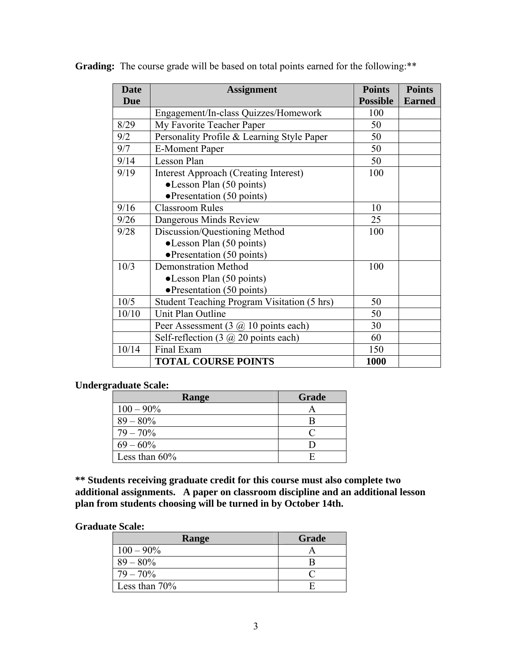| <b>Date</b> | <b>Assignment</b>                                         | <b>Points</b>   | <b>Points</b> |
|-------------|-----------------------------------------------------------|-----------------|---------------|
| <b>Due</b>  |                                                           | <b>Possible</b> | <b>Earned</b> |
|             | Engagement/In-class Quizzes/Homework                      | 100             |               |
| 8/29        | My Favorite Teacher Paper                                 | 50              |               |
| 9/2         | Personality Profile & Learning Style Paper                | 50              |               |
| 9/7         | <b>E-Moment Paper</b>                                     | 50              |               |
| 9/14        | <b>Lesson Plan</b>                                        | 50              |               |
| 9/19        | <b>Interest Approach (Creating Interest)</b>              | 100             |               |
|             | •Lesson Plan (50 points)                                  |                 |               |
|             | $\bullet$ Presentation (50 points)                        |                 |               |
| 9/16        | <b>Classroom Rules</b>                                    | 10              |               |
| 9/26        | Dangerous Minds Review                                    | 25              |               |
| 9/28        | Discussion/Questioning Method                             | 100             |               |
|             | •Lesson Plan (50 points)                                  |                 |               |
|             | $\bullet$ Presentation (50 points)                        |                 |               |
| 10/3        | <b>Demonstration Method</b>                               | 100             |               |
|             | $\bullet$ Lesson Plan (50 points)                         |                 |               |
|             | $\bullet$ Presentation (50 points)                        |                 |               |
| 10/5        | <b>Student Teaching Program Visitation (5 hrs)</b>        | 50              |               |
| 10/10       | Unit Plan Outline                                         | 50              |               |
|             | Peer Assessment $(3 \omega 10 \text{ points each})$       | 30              |               |
|             | Self-reflection $(3 \text{ } (a) 20 \text{ points each})$ | 60              |               |
| 10/14       | Final Exam                                                | 150             |               |
|             | <b>TOTAL COURSE POINTS</b>                                | 1000            |               |

Grading: The course grade will be based on total points earned for the following:\*\*

### **Undergraduate Scale:**

| Range            | Grade |
|------------------|-------|
| $100 - 90\%$     |       |
| $89 - 80\%$      |       |
| $79 - 70\%$      |       |
| $69 - 60\%$      |       |
| Less than $60\%$ |       |

**\*\* Students receiving graduate credit for this course must also complete two additional assignments. A paper on classroom discipline and an additional lesson plan from students choosing will be turned in by October 14th.** 

#### **Graduate Scale:**

| Range            | Grade |
|------------------|-------|
| $100 - 90\%$     |       |
| $89 - 80\%$      |       |
| $79 - 70\%$      |       |
| Less than $70\%$ |       |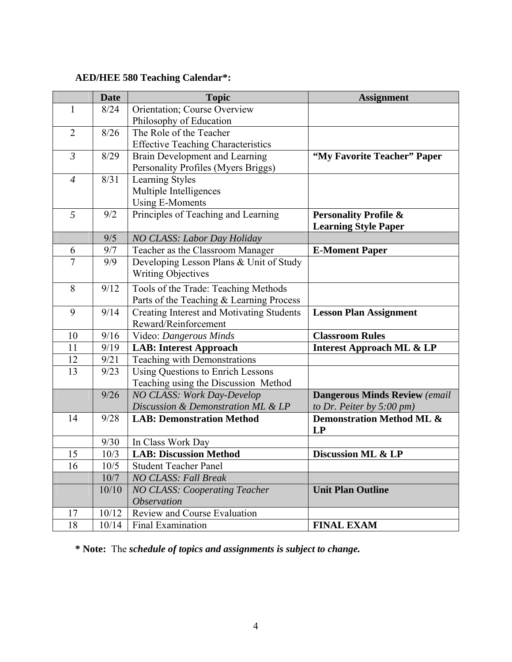# **AED/HEE 580 Teaching Calendar\*:**

|                | <b>Date</b> | <b>Topic</b>                              | <b>Assignment</b>                      |
|----------------|-------------|-------------------------------------------|----------------------------------------|
| 1              | 8/24        | Orientation; Course Overview              |                                        |
|                |             | Philosophy of Education                   |                                        |
| $\overline{2}$ | 8/26        | The Role of the Teacher                   |                                        |
|                |             | <b>Effective Teaching Characteristics</b> |                                        |
| $\mathfrak{Z}$ | 8/29        | Brain Development and Learning            | "My Favorite Teacher" Paper            |
|                |             | Personality Profiles (Myers Briggs)       |                                        |
| $\overline{4}$ | 8/31        | Learning Styles                           |                                        |
|                |             | Multiple Intelligences                    |                                        |
|                |             | <b>Using E-Moments</b>                    |                                        |
| 5              | 9/2         | Principles of Teaching and Learning       | <b>Personality Profile &amp;</b>       |
|                |             |                                           | <b>Learning Style Paper</b>            |
|                | 9/5         | NO CLASS: Labor Day Holiday               |                                        |
| 6              | 9/7         | Teacher as the Classroom Manager          | <b>E-Moment Paper</b>                  |
| $\tau$         | 9/9         | Developing Lesson Plans & Unit of Study   |                                        |
|                |             | <b>Writing Objectives</b>                 |                                        |
| 8              | 9/12        | Tools of the Trade: Teaching Methods      |                                        |
|                |             | Parts of the Teaching & Learning Process  |                                        |
| 9              | 9/14        | Creating Interest and Motivating Students | <b>Lesson Plan Assignment</b>          |
|                |             | Reward/Reinforcement                      |                                        |
| 10             | 9/16        | Video: Dangerous Minds                    | <b>Classroom Rules</b>                 |
| 11             | 9/19        | <b>LAB: Interest Approach</b>             | <b>Interest Approach ML &amp; LP</b>   |
| 12             | 9/21        | Teaching with Demonstrations              |                                        |
| 13             | 9/23        | <b>Using Questions to Enrich Lessons</b>  |                                        |
|                |             | Teaching using the Discussion Method      |                                        |
|                | 9/26        | <b>NO CLASS: Work Day-Develop</b>         | <b>Dangerous Minds Review (email</b>   |
|                |             | Discussion & Demonstration ML & LP        | to Dr. Peiter by $5:00 \, \text{pm}$ ) |
| 14             | 9/28        | <b>LAB: Demonstration Method</b>          | Demonstration Method ML &              |
|                |             |                                           | <b>LP</b>                              |
|                | 9/30        | In Class Work Day                         |                                        |
| 15             | 10/3        | <b>LAB: Discussion Method</b>             | Discussion ML & LP                     |
| 16             | $10/5$      | Student Teacher Panel                     |                                        |
|                | 10/7        | <b>NO CLASS: Fall Break</b>               |                                        |
|                | 10/10       | <b>NO CLASS: Cooperating Teacher</b>      | <b>Unit Plan Outline</b>               |
|                |             | <i><b>Observation</b></i>                 |                                        |
| 17             | 10/12       | Review and Course Evaluation              |                                        |
| 18             | 10/14       | Final Examination                         | <b>FINAL EXAM</b>                      |

**\* Note:** The *schedule of topics and assignments is subject to change.*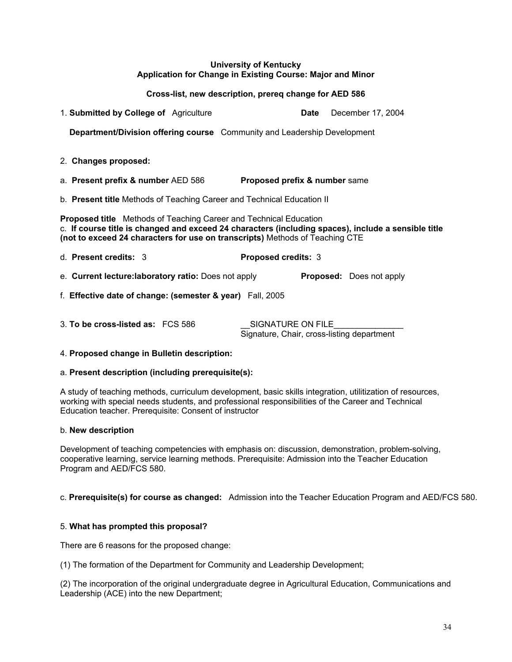#### **University of Kentucky Application for Change in Existing Course: Major and Minor**

#### **Cross-list, new description, prereq change for AED 586**

| 1. Submitted by College of Agriculture                                                                                                                                                                                                                          | December 17, 2004<br>Date                                       |  |  |  |
|-----------------------------------------------------------------------------------------------------------------------------------------------------------------------------------------------------------------------------------------------------------------|-----------------------------------------------------------------|--|--|--|
| <b>Department/Division offering course</b> Community and Leadership Development                                                                                                                                                                                 |                                                                 |  |  |  |
| 2. Changes proposed:                                                                                                                                                                                                                                            |                                                                 |  |  |  |
| a. Present prefix & number AED 586                                                                                                                                                                                                                              | Proposed prefix & number same                                   |  |  |  |
| b. Present title Methods of Teaching Career and Technical Education II                                                                                                                                                                                          |                                                                 |  |  |  |
| <b>Proposed title</b> Methods of Teaching Career and Technical Education<br>c. If course title is changed and exceed 24 characters (including spaces), include a sensible title<br>(not to exceed 24 characters for use on transcripts) Methods of Teaching CTE |                                                                 |  |  |  |
| d. Present credits: 3                                                                                                                                                                                                                                           | Proposed credits: 3                                             |  |  |  |
| e. Current lecture: laboratory ratio: Does not apply                                                                                                                                                                                                            | <b>Proposed:</b> Does not apply                                 |  |  |  |
| f. Effective date of change: (semester & year) Fall, 2005                                                                                                                                                                                                       |                                                                 |  |  |  |
| 3. To be cross-listed as: FCS 586                                                                                                                                                                                                                               | SIGNATURE ON FILE<br>Signature, Chair, cross-listing department |  |  |  |

#### 4. **Proposed change in Bulletin description:**

#### a. **Present description (including prerequisite(s):**

A study of teaching methods, curriculum development, basic skills integration, utilitization of resources, working with special needs students, and professional responsibilities of the Career and Technical Education teacher. Prerequisite: Consent of instructor

#### b. **New description**

Development of teaching competencies with emphasis on: discussion, demonstration, problem-solving, cooperative learning, service learning methods. Prerequisite: Admission into the Teacher Education Program and AED/FCS 580.

#### c. **Prerequisite(s) for course as changed:** Admission into the Teacher Education Program and AED/FCS 580.

#### 5. **What has prompted this proposal?**

There are 6 reasons for the proposed change:

(1) The formation of the Department for Community and Leadership Development;

(2) The incorporation of the original undergraduate degree in Agricultural Education, Communications and Leadership (ACE) into the new Department;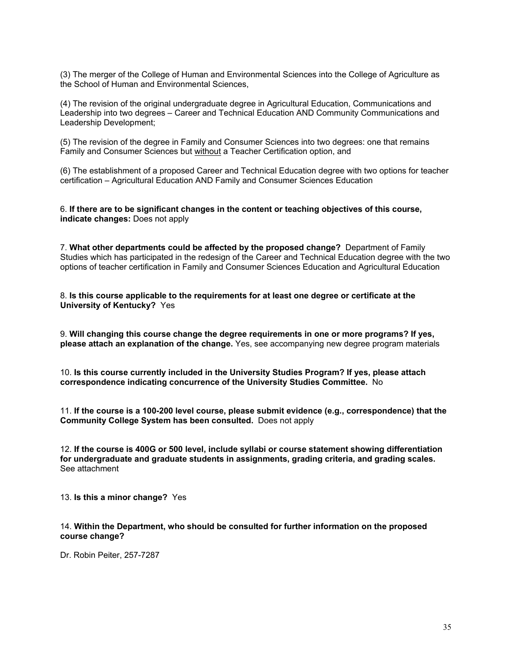(3) The merger of the College of Human and Environmental Sciences into the College of Agriculture as the School of Human and Environmental Sciences,

(4) The revision of the original undergraduate degree in Agricultural Education, Communications and Leadership into two degrees – Career and Technical Education AND Community Communications and Leadership Development;

(5) The revision of the degree in Family and Consumer Sciences into two degrees: one that remains Family and Consumer Sciences but without a Teacher Certification option, and

(6) The establishment of a proposed Career and Technical Education degree with two options for teacher certification – Agricultural Education AND Family and Consumer Sciences Education

6. **If there are to be significant changes in the content or teaching objectives of this course, indicate changes:** Does not apply

7. **What other departments could be affected by the proposed change?** Department of Family Studies which has participated in the redesign of the Career and Technical Education degree with the two options of teacher certification in Family and Consumer Sciences Education and Agricultural Education

8. **Is this course applicable to the requirements for at least one degree or certificate at the University of Kentucky?** Yes

9. **Will changing this course change the degree requirements in one or more programs? If yes, please attach an explanation of the change.** Yes, see accompanying new degree program materials

10. **Is this course currently included in the University Studies Program? If yes, please attach correspondence indicating concurrence of the University Studies Committee.** No

11. **If the course is a 100-200 level course, please submit evidence (e.g., correspondence) that the Community College System has been consulted.** Does not apply

12. **If the course is 400G or 500 level, include syllabi or course statement showing differentiation for undergraduate and graduate students in assignments, grading criteria, and grading scales.** See attachment

13. **Is this a minor change?** Yes

14. **Within the Department, who should be consulted for further information on the proposed course change?**

Dr. Robin Peiter, 257-7287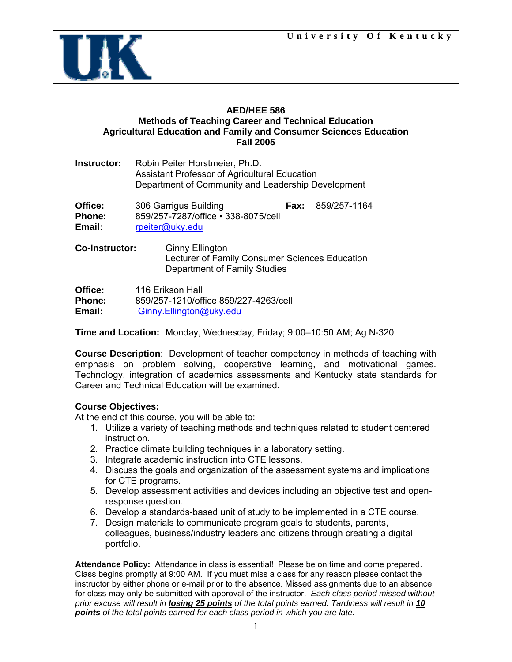

### **AED/HEE 586 Methods of Teaching Career and Technical Education Agricultural Education and Family and Consumer Sciences Education Fall 2005**

| Instructor:                 | Robin Peiter Horstmeier, Ph.D.<br><b>Assistant Professor of Agricultural Education</b><br>Department of Community and Leadership Development |      |              |
|-----------------------------|----------------------------------------------------------------------------------------------------------------------------------------------|------|--------------|
| Office:<br>Phone:<br>Email: | 306 Garrigus Building<br>859/257-7287/office • 338-8075/cell<br>rpeiter@uky.edu                                                              | Fax: | 859/257-1164 |
| <b>Co-Instructor:</b>       | <b>Ginny Ellington</b><br>Lecturer of Family Consumer Sciences Education                                                                     |      |              |

 Lecturer of Family Consumer Sciences Education Department of Family Studies

**Office:** 116 Erikson Hall **Phone:** 859/257-1210/office 859/227-4263/cell **Email:** [Ginny.Ellington@uky.edu](mailto:Ginny.Ellington@uky.edu)

**Time and Location:** Monday, Wednesday, Friday; 9:00–10:50 AM; Ag N-320

**Course Description**: Development of teacher competency in methods of teaching with emphasis on problem solving, cooperative learning, and motivational games. Technology, integration of academics assessments and Kentucky state standards for Career and Technical Education will be examined.

### **Course Objectives:**

At the end of this course, you will be able to:

- 1. Utilize a variety of teaching methods and techniques related to student centered instruction.
- 2. Practice climate building techniques in a laboratory setting.
- 3. Integrate academic instruction into CTE lessons.
- 4. Discuss the goals and organization of the assessment systems and implications for CTE programs.
- 5. Develop assessment activities and devices including an objective test and openresponse question.
- 6. Develop a standards-based unit of study to be implemented in a CTE course.
- 7. Design materials to communicate program goals to students, parents, colleagues, business/industry leaders and citizens through creating a digital portfolio.

**Attendance Policy:** Attendance in class is essential! Please be on time and come prepared. Class begins promptly at 9:00 AM. If you must miss a class for any reason please contact the instructor by either phone or e-mail prior to the absence. Missed assignments due to an absence for class may only be submitted with approval of the instructor.*Each class period missed without prior excuse will result in losing 25 points of the total points earned. Tardiness will result in 10 points of the total points earned for each class period in which you are late.*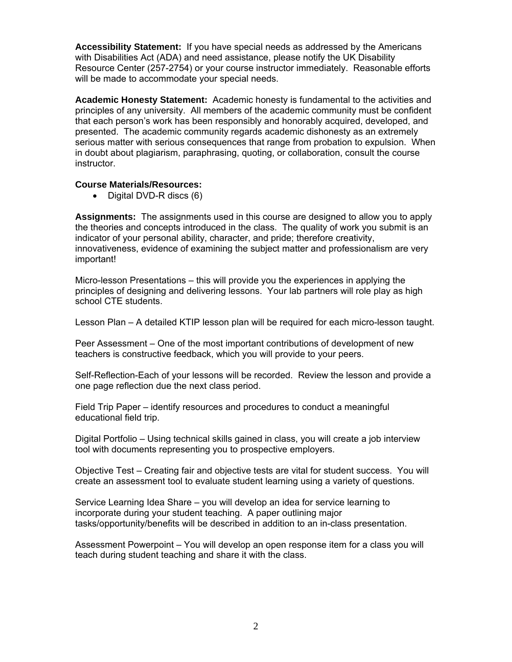**Accessibility Statement:** If you have special needs as addressed by the Americans with Disabilities Act (ADA) and need assistance, please notify the UK Disability Resource Center (257-2754) or your course instructor immediately. Reasonable efforts will be made to accommodate your special needs.

**Academic Honesty Statement:** Academic honesty is fundamental to the activities and principles of any university. All members of the academic community must be confident that each person's work has been responsibly and honorably acquired, developed, and presented. The academic community regards academic dishonesty as an extremely serious matter with serious consequences that range from probation to expulsion. When in doubt about plagiarism, paraphrasing, quoting, or collaboration, consult the course instructor.

#### **Course Materials/Resources:**

• Digital DVD-R discs (6)

**Assignments:** The assignments used in this course are designed to allow you to apply the theories and concepts introduced in the class. The quality of work you submit is an indicator of your personal ability, character, and pride; therefore creativity, innovativeness, evidence of examining the subject matter and professionalism are very important!

Micro-lesson Presentations – this will provide you the experiences in applying the principles of designing and delivering lessons. Your lab partners will role play as high school CTE students.

Lesson Plan – A detailed KTIP lesson plan will be required for each micro-lesson taught.

Peer Assessment – One of the most important contributions of development of new teachers is constructive feedback, which you will provide to your peers.

Self-Reflection-Each of your lessons will be recorded. Review the lesson and provide a one page reflection due the next class period.

Field Trip Paper – identify resources and procedures to conduct a meaningful educational field trip.

Digital Portfolio – Using technical skills gained in class, you will create a job interview tool with documents representing you to prospective employers.

Objective Test – Creating fair and objective tests are vital for student success. You will create an assessment tool to evaluate student learning using a variety of questions.

Service Learning Idea Share – you will develop an idea for service learning to incorporate during your student teaching. A paper outlining major tasks/opportunity/benefits will be described in addition to an in-class presentation.

Assessment Powerpoint – You will develop an open response item for a class you will teach during student teaching and share it with the class.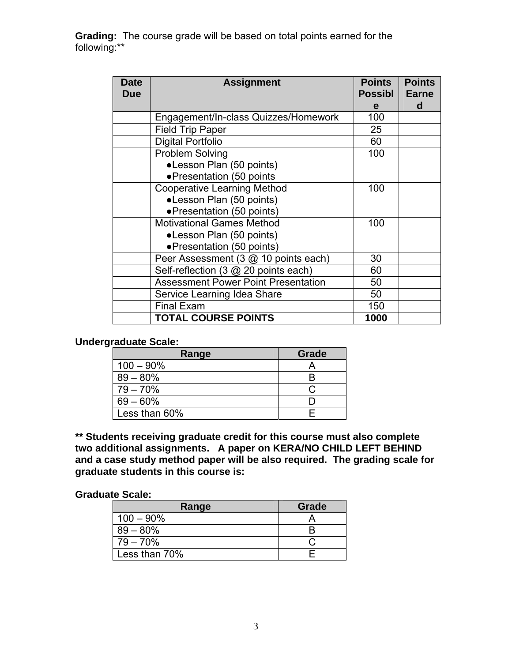**Grading:** The course grade will be based on total points earned for the following:\*\*

| <b>Date</b><br><b>Due</b> | <b>Assignment</b>                          | <b>Points</b><br><b>Possibl</b> | <b>Points</b><br><b>Earne</b> |
|---------------------------|--------------------------------------------|---------------------------------|-------------------------------|
|                           |                                            | e                               | d                             |
|                           | Engagement/In-class Quizzes/Homework       | 100                             |                               |
|                           | <b>Field Trip Paper</b>                    | 25                              |                               |
|                           | <b>Digital Portfolio</b>                   | 60                              |                               |
|                           | <b>Problem Solving</b>                     | 100                             |                               |
|                           | •Lesson Plan (50 points)                   |                                 |                               |
|                           | • Presentation (50 points                  |                                 |                               |
|                           | <b>Cooperative Learning Method</b>         | 100                             |                               |
|                           | •Lesson Plan (50 points)                   |                                 |                               |
|                           | • Presentation (50 points)                 |                                 |                               |
|                           | <b>Motivational Games Method</b>           | 100                             |                               |
|                           | •Lesson Plan (50 points)                   |                                 |                               |
|                           | • Presentation (50 points)                 |                                 |                               |
|                           | Peer Assessment (3 @ 10 points each)       | 30                              |                               |
|                           | Self-reflection (3 @ 20 points each)       | 60                              |                               |
|                           | <b>Assessment Power Point Presentation</b> | 50                              |                               |
|                           | Service Learning Idea Share                | 50                              |                               |
|                           | <b>Final Exam</b>                          | 150                             |                               |
|                           | <b>TOTAL COURSE POINTS</b>                 | 1000                            |                               |

# **Undergraduate Scale:**

| Range         | Grade |
|---------------|-------|
| $100 - 90\%$  |       |
| $89 - 80\%$   |       |
| $79 - 70%$    |       |
| $69 - 60\%$   |       |
| Less than 60% |       |

**\*\* Students receiving graduate credit for this course must also complete two additional assignments. A paper on KERA/NO CHILD LEFT BEHIND and a case study method paper will be also required. The grading scale for graduate students in this course is:** 

#### **Graduate Scale:**

| Range         | Grade |
|---------------|-------|
| $100 - 90\%$  |       |
| $89 - 80\%$   |       |
| $79 - 70\%$   |       |
| Less than 70% |       |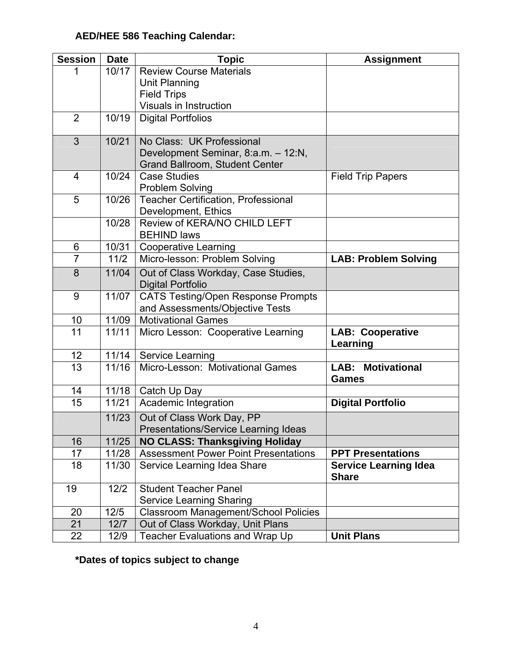# **AED/HEE 586 Teaching Calendar:**

| <b>Session</b> | <b>Date</b> | <b>Topic</b>                                                      | <b>Assignment</b>                            |
|----------------|-------------|-------------------------------------------------------------------|----------------------------------------------|
|                | 10/17       | <b>Review Course Materials</b>                                    |                                              |
|                |             | <b>Unit Planning</b>                                              |                                              |
|                |             | <b>Field Trips</b>                                                |                                              |
|                |             | Visuals in Instruction                                            |                                              |
| $\overline{2}$ | 10/19       | <b>Digital Portfolios</b>                                         |                                              |
| 3              | 10/21       | No Class: UK Professional                                         |                                              |
|                |             | Development Seminar, 8:a.m. - 12:N,                               |                                              |
|                |             | Grand Ballroom, Student Center                                    |                                              |
| $\overline{4}$ | 10/24       | <b>Case Studies</b>                                               | <b>Field Trip Papers</b>                     |
|                |             | <b>Problem Solving</b>                                            |                                              |
| 5              | 10/26       | <b>Teacher Certification, Professional</b><br>Development, Ethics |                                              |
|                | 10/28       | Review of KERA/NO CHILD LEFT                                      |                                              |
|                |             | <b>BEHIND laws</b>                                                |                                              |
| 6              | 10/31       | <b>Cooperative Learning</b>                                       |                                              |
| $\overline{7}$ | 11/2        | Micro-lesson: Problem Solving                                     | <b>LAB: Problem Solving</b>                  |
| 8              | 11/04       | Out of Class Workday, Case Studies,                               |                                              |
|                |             | <b>Digital Portfolio</b>                                          |                                              |
| 9              | 11/07       | <b>CATS Testing/Open Response Prompts</b>                         |                                              |
|                |             | and Assessments/Objective Tests                                   |                                              |
| 10             | 11/09       | <b>Motivational Games</b>                                         |                                              |
| 11             | 11/11       | Micro Lesson: Cooperative Learning                                | <b>LAB: Cooperative</b><br>Learning          |
| 12             | 11/14       | <b>Service Learning</b>                                           |                                              |
| 13             | 11/16       | Micro-Lesson: Motivational Games                                  | <b>LAB: Motivational</b><br><b>Games</b>     |
| 14             | 11/18       | Catch Up Day                                                      |                                              |
| 15             | 11/21       | Academic Integration                                              | <b>Digital Portfolio</b>                     |
|                | 11/23       | Out of Class Work Day, PP                                         |                                              |
|                |             | <b>Presentations/Service Learning Ideas</b>                       |                                              |
| 16             | 11/25       | <b>NO CLASS: Thanksgiving Holiday</b>                             |                                              |
| 17             | 11/28       | <b>Assessment Power Point Presentations</b>                       | <b>PPT Presentations</b>                     |
| 18             | 11/30       | Service Learning Idea Share                                       | <b>Service Learning Idea</b><br><b>Share</b> |
| 19             | $12/2$      | <b>Student Teacher Panel</b>                                      |                                              |
|                |             | <b>Service Learning Sharing</b>                                   |                                              |
| 20             | 12/5        | Classroom Management/School Policies                              |                                              |
| 21             | 12/7        | Out of Class Workday, Unit Plans                                  |                                              |
| 22             | 12/9        | Teacher Evaluations and Wrap Up                                   | <b>Unit Plans</b>                            |

**\*Dates of topics subject to change**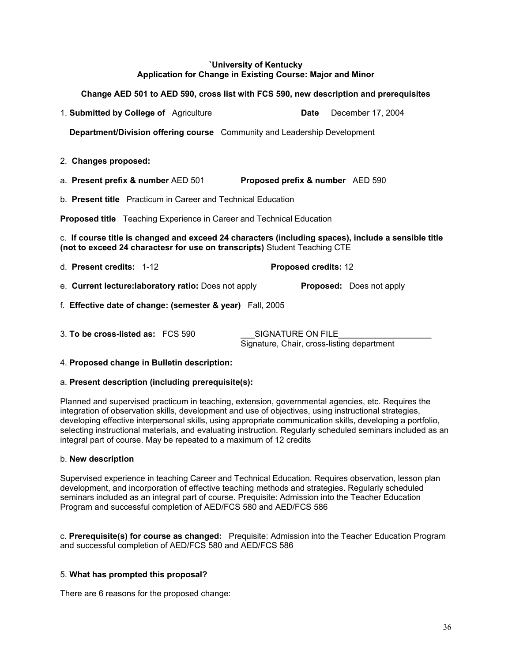#### **`University of Kentucky Application for Change in Existing Course: Major and Minor**

# **Change AED 501 to AED 590, cross list with FCS 590, new description and prerequisites** 1. **Submitted by College of** Agriculture **Date** December 17, 2004 **Department/Division offering course** Community and Leadership Development 2. **Changes proposed:** a. **Present prefix & number** AED 501 **Proposed prefix & number** AED 590 b. **Present title** Practicum in Career and Technical Education **Proposed title** Teaching Experience in Career and Technical Education c. **If course title is changed and exceed 24 characters (including spaces), include a sensible title (not to exceed 24 charactesr for use on transcripts)** Student Teaching CTE d. **Present credits:** 1-12 **Proposed credits:** 12 e. **Current lecture:laboratory ratio:** Does not apply **Proposed:** Does not apply f. **Effective date of change: (semester & year)** Fall, 2005 3. **To be cross-listed as:** FCS 590 SIGNATURE ON FILE Signature, Chair, cross-listing department

4. **Proposed change in Bulletin description:**

#### a. **Present description (including prerequisite(s):**

Planned and supervised practicum in teaching, extension, governmental agencies, etc. Requires the integration of observation skills, development and use of objectives, using instructional strategies, developing effective interpersonal skills, using appropriate communication skills, developing a portfolio, selecting instructional materials, and evaluating instruction. Regularly scheduled seminars included as an integral part of course. May be repeated to a maximum of 12 credits

#### b. **New description**

Supervised experience in teaching Career and Technical Education. Requires observation, lesson plan development, and incorporation of effective teaching methods and strategies. Regularly scheduled seminars included as an integral part of course. Prequisite: Admission into the Teacher Education Program and successful completion of AED/FCS 580 and AED/FCS 586

c. **Prerequisite(s) for course as changed:** Prequisite: Admission into the Teacher Education Program and successful completion of AED/FCS 580 and AED/FCS 586

#### 5. **What has prompted this proposal?**

There are 6 reasons for the proposed change: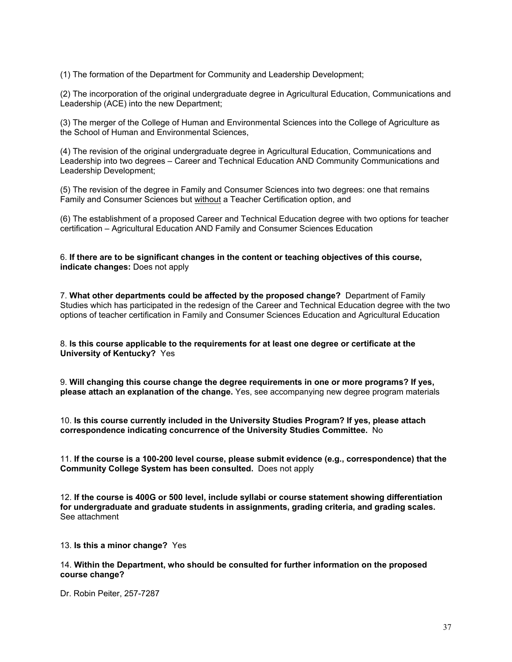(1) The formation of the Department for Community and Leadership Development;

(2) The incorporation of the original undergraduate degree in Agricultural Education, Communications and Leadership (ACE) into the new Department;

(3) The merger of the College of Human and Environmental Sciences into the College of Agriculture as the School of Human and Environmental Sciences,

(4) The revision of the original undergraduate degree in Agricultural Education, Communications and Leadership into two degrees – Career and Technical Education AND Community Communications and Leadership Development;

(5) The revision of the degree in Family and Consumer Sciences into two degrees: one that remains Family and Consumer Sciences but without a Teacher Certification option, and

(6) The establishment of a proposed Career and Technical Education degree with two options for teacher certification – Agricultural Education AND Family and Consumer Sciences Education

6. **If there are to be significant changes in the content or teaching objectives of this course, indicate changes:** Does not apply

7. **What other departments could be affected by the proposed change?** Department of Family Studies which has participated in the redesign of the Career and Technical Education degree with the two options of teacher certification in Family and Consumer Sciences Education and Agricultural Education

8. **Is this course applicable to the requirements for at least one degree or certificate at the University of Kentucky?** Yes

9. **Will changing this course change the degree requirements in one or more programs? If yes, please attach an explanation of the change.** Yes, see accompanying new degree program materials

10. **Is this course currently included in the University Studies Program? If yes, please attach correspondence indicating concurrence of the University Studies Committee.** No

11. **If the course is a 100-200 level course, please submit evidence (e.g., correspondence) that the Community College System has been consulted.** Does not apply

12. **If the course is 400G or 500 level, include syllabi or course statement showing differentiation for undergraduate and graduate students in assignments, grading criteria, and grading scales.** See attachment

13. **Is this a minor change?** Yes

14. **Within the Department, who should be consulted for further information on the proposed course change?**

Dr. Robin Peiter, 257-7287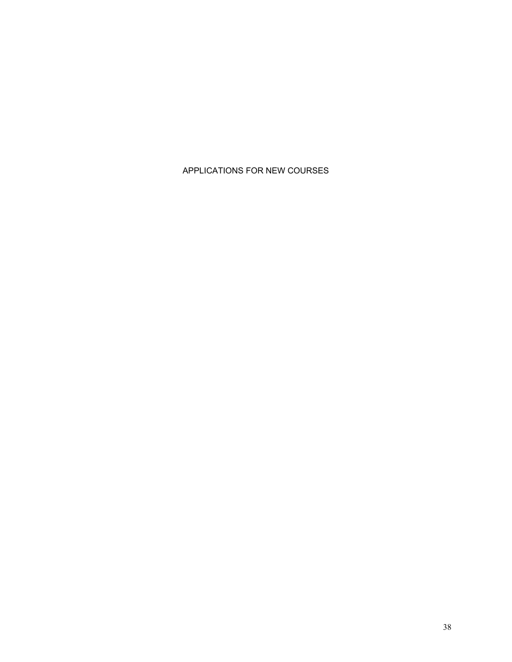# APPLICATIONS FOR NEW COURSES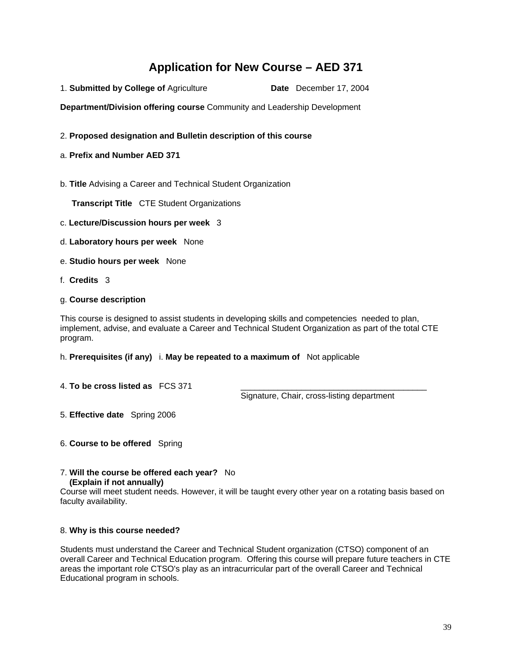# **Application for New Course – AED 371**

1. **Submitted by College of** Agriculture **Date** December 17, 2004

**Department/Division offering course** Community and Leadership Development

- 2. **Proposed designation and Bulletin description of this course**
- a. **Prefix and Number AED 371**
- b. **Title** Advising a Career and Technical Student Organization

**Transcript Title** CTE Student Organizations

- c. **Lecture/Discussion hours per week** 3
- d. **Laboratory hours per week** None
- e. **Studio hours per week** None
- f. **Credits** 3
- g. **Course description**

This course is designed to assist students in developing skills and competencies needed to plan, implement, advise, and evaluate a Career and Technical Student Organization as part of the total CTE program.

h. **Prerequisites (if any)** i. **May be repeated to a maximum of** Not applicable

4. **To be cross listed as** FCS 371 \_\_\_\_\_\_\_\_\_\_\_\_\_\_\_\_\_\_\_\_\_\_\_\_\_\_\_\_\_\_\_\_\_\_\_\_\_\_\_\_

Signature, Chair, cross-listing department

- 5. **Effective date** Spring 2006
- 6. **Course to be offered** Spring
- 7. **Will the course be offered each year?** No  **(Explain if not annually)**

Course will meet student needs. However, it will be taught every other year on a rotating basis based on faculty availability.

#### 8. **Why is this course needed?**

Students must understand the Career and Technical Student organization (CTSO) component of an overall Career and Technical Education program. Offering this course will prepare future teachers in CTE areas the important role CTSO's play as an intracurricular part of the overall Career and Technical Educational program in schools.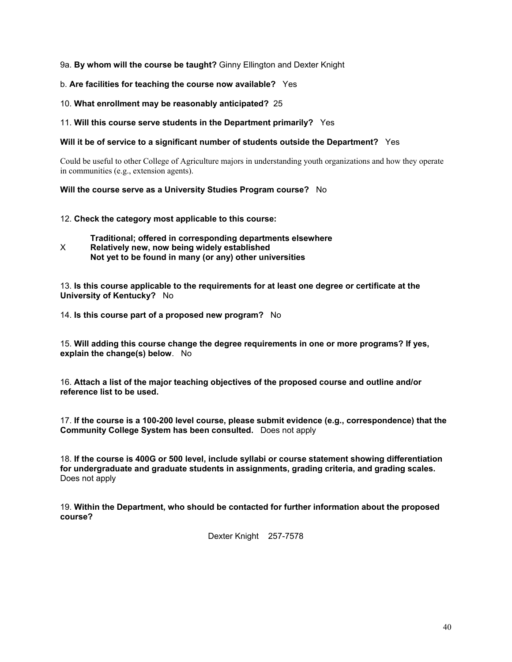#### 9a. **By whom will the course be taught?** Ginny Ellington and Dexter Knight

#### b. **Are facilities for teaching the course now available?** Yes

#### 10. **What enrollment may be reasonably anticipated?** 25

#### 11. **Will this course serve students in the Department primarily?** Yes

#### **Will it be of service to a significant number of students outside the Department?** Yes

Could be useful to other College of Agriculture majors in understanding youth organizations and how they operate in communities (e.g., extension agents).

#### **Will the course serve as a University Studies Program course?** No

12. **Check the category most applicable to this course:**

**Traditional; offered in corresponding departments elsewhere** X **Relatively new, now being widely established Not yet to be found in many (or any) other universities**

13. **Is this course applicable to the requirements for at least one degree or certificate at the University of Kentucky?** No

14. **Is this course part of a proposed new program?** No

15. **Will adding this course change the degree requirements in one or more programs? If yes, explain the change(s) below**. No

16. **Attach a list of the major teaching objectives of the proposed course and outline and/or reference list to be used.**

17. **If the course is a 100-200 level course, please submit evidence (e.g., correspondence) that the Community College System has been consulted.** Does not apply

18. **If the course is 400G or 500 level, include syllabi or course statement showing differentiation for undergraduate and graduate students in assignments, grading criteria, and grading scales.** Does not apply

19. **Within the Department, who should be contacted for further information about the proposed course?**

Dexter Knight 257-7578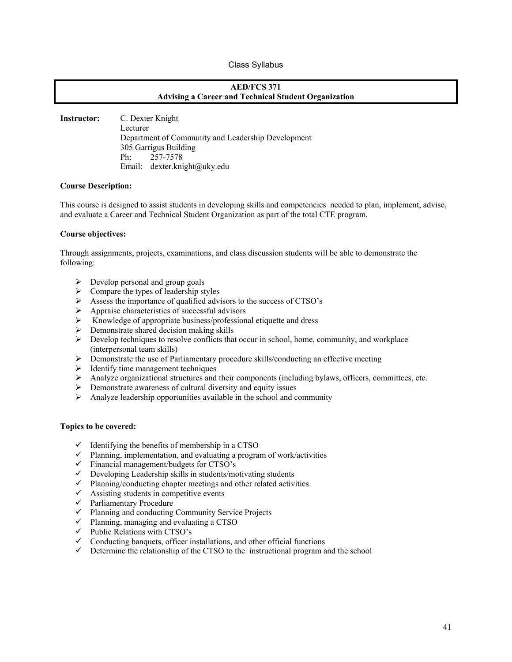#### Class Syllabus

#### **AED/FCS 371 Advising a Career and Technical Student Organization**

**Instructor:** C. Dexter Knight Lecturer Department of Community and Leadership Development 305 Garrigus Building Ph: 257-7578 Email: dexter.knight@uky.edu

#### **Course Description:**

This course is designed to assist students in developing skills and competencies needed to plan, implement, advise, and evaluate a Career and Technical Student Organization as part of the total CTE program.

#### **Course objectives:**

Through assignments, projects, examinations, and class discussion students will be able to demonstrate the following:

- $\triangleright$  Develop personal and group goals
- $\triangleright$  Compare the types of leadership styles
- $\triangleright$  Assess the importance of qualified advisors to the success of CTSO's
- $\triangleright$  Appraise characteristics of successful advisors
- $\triangleright$  Knowledge of appropriate business/professional etiquette and dress
- $\triangleright$  Demonstrate shared decision making skills
- $\triangleright$  Develop techniques to resolve conflicts that occur in school, home, community, and workplace (interpersonal team skills)
- ¾ Demonstrate the use of Parliamentary procedure skills/conducting an effective meeting
- $\triangleright$  Identify time management techniques
- $\triangleright$  Analyze organizational structures and their components (including bylaws, officers, committees, etc.
- $\triangleright$  Demonstrate awareness of cultural diversity and equity issues
- $\triangleright$  Analyze leadership opportunities available in the school and community

#### **Topics to be covered:**

- $\checkmark$  Identifying the benefits of membership in a CTSO
- $\checkmark$  Planning, implementation, and evaluating a program of work/activities
- $\checkmark$  Financial management/budgets for CTSO's
- $\checkmark$  Developing Leadership skills in students/motivating students
- $\checkmark$  Planning/conducting chapter meetings and other related activities
- $\checkmark$  Assisting students in competitive events
- $\checkmark$  Parliamentary Procedure
- $\checkmark$  Planning and conducting Community Service Projects
- $\checkmark$  Planning, managing and evaluating a CTSO
- $\checkmark$  Public Relations with CTSO's
- $\checkmark$  Conducting banquets, officer installations, and other official functions
- $\checkmark$  Determine the relationship of the CTSO to the instructional program and the school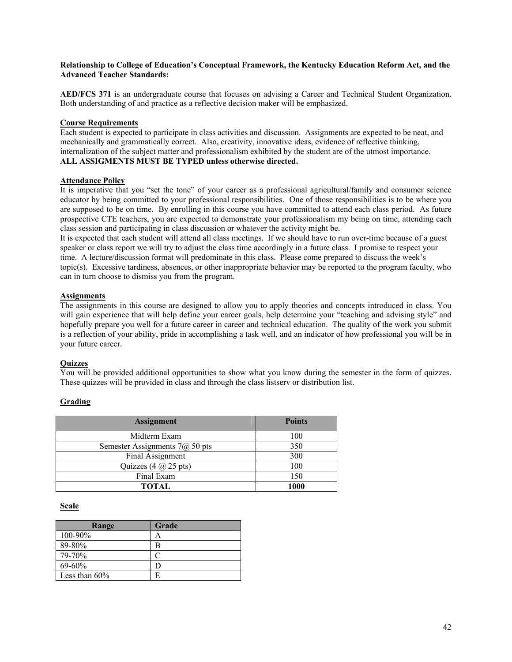#### **Relationship to College of Education's Conceptual Framework, the Kentucky Education Reform Act, and the Advanced Teacher Standards:**

**AED/FCS 371** is an undergraduate course that focuses on advising a Career and Technical Student Organization. Both understanding of and practice as a reflective decision maker will be emphasized.

#### **Course Requirements**

Each student is expected to participate in class activities and discussion. Assignments are expected to be neat, and mechanically and grammatically correct. Also, creativity, innovative ideas, evidence of reflective thinking, internalization of the subject matter and professionalism exhibited by the student are of the utmost importance. **ALL ASSIGMENTS MUST BE TYPED unless otherwise directed.** 

#### **Attendance Policy**

It is imperative that you "set the tone" of your career as a professional agricultural/family and consumer science educator by being committed to your professional responsibilities. One of those responsibilities is to be where you are supposed to be on time. By enrolling in this course you have committed to attend each class period. As future prospective CTE teachers, you are expected to demonstrate your professionalism my being on time, attending each class session and participating in class discussion or whatever the activity might be.

It is expected that each student will attend all class meetings. If we should have to run over-time because of a guest speaker or class report we will try to adjust the class time accordingly in a future class. I promise to respect your time. A lecture/discussion format will predominate in this class. Please come prepared to discuss the week's topic(s). Excessive tardiness, absences, or other inappropriate behavior may be reported to the program faculty, who can in turn choose to dismiss you from the program.

#### **Assignments**

The assignments in this course are designed to allow you to apply theories and concepts introduced in class. You will gain experience that will help define your career goals, help determine your "teaching and advising style" and hopefully prepare you well for a future career in career and technical education. The quality of the work you submit is a reflection of your ability, pride in accomplishing a task well, and an indicator of how professional you will be in your future career.

#### **Quizzes**

You will be provided additional opportunities to show what you know during the semester in the form of quizzes. These quizzes will be provided in class and through the class listserv or distribution list.

#### **Grading**

| <b>Assignment</b>                                               | <b>Points</b> |
|-----------------------------------------------------------------|---------------|
| Midterm Exam                                                    | 100           |
| Semester Assignments $7\omega$ 50 pts                           | 350           |
| Final Assignment                                                | 300           |
| Quizzes $(4 \text{ } \widehat{\omega} \text{ } 25 \text{ pts})$ | 100           |
| Final Exam                                                      | 150           |
| <b>TOTAL</b>                                                    | 1000          |

#### **Scale**

| Range            | Grade |
|------------------|-------|
| $100 - 90\%$     |       |
| 89-80%           |       |
| 79-70%           |       |
| $69 - 60%$       |       |
| Less than $60\%$ |       |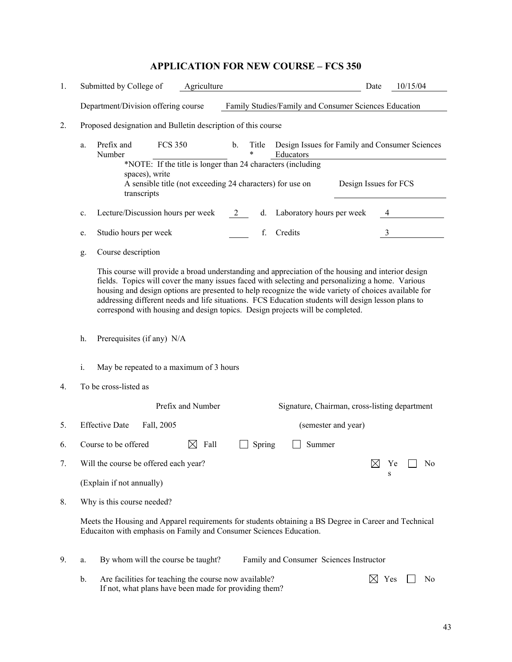# **APPLICATION FOR NEW COURSE – FCS 350**

| 1. | Submitted by College of<br>Agriculture                                                                                                                                                                                                                                                                                                                                                                                                                                                                | Date                  | 10/15/04 |
|----|-------------------------------------------------------------------------------------------------------------------------------------------------------------------------------------------------------------------------------------------------------------------------------------------------------------------------------------------------------------------------------------------------------------------------------------------------------------------------------------------------------|-----------------------|----------|
|    | Department/Division offering course<br>Family Studies/Family and Consumer Sciences Education                                                                                                                                                                                                                                                                                                                                                                                                          |                       |          |
| 2. | Proposed designation and Bulletin description of this course                                                                                                                                                                                                                                                                                                                                                                                                                                          |                       |          |
|    | <b>FCS 350</b><br>Prefix and<br>$\mathbf{b}$ .<br>Design Issues for Family and Consumer Sciences<br>Title<br>a.<br>$\ast$<br>Educators<br>Number                                                                                                                                                                                                                                                                                                                                                      |                       |          |
|    | *NOTE: If the title is longer than 24 characters (including<br>spaces), write<br>A sensible title (not exceeding 24 characters) for use on<br>transcripts                                                                                                                                                                                                                                                                                                                                             | Design Issues for FCS |          |
|    | Lecture/Discussion hours per week<br>2<br>d. Laboratory hours per week<br>c.                                                                                                                                                                                                                                                                                                                                                                                                                          |                       |          |
|    | Credits<br>Studio hours per week<br>f.<br>e.                                                                                                                                                                                                                                                                                                                                                                                                                                                          | $\mathfrak{Z}$        |          |
|    | Course description<br>g.                                                                                                                                                                                                                                                                                                                                                                                                                                                                              |                       |          |
|    | This course will provide a broad understanding and appreciation of the housing and interior design<br>fields. Topics will cover the many issues faced with selecting and personalizing a home. Various<br>housing and design options are presented to help recognize the wide variety of choices available for<br>addressing different needs and life situations. FCS Education students will design lesson plans to<br>correspond with housing and design topics. Design projects will be completed. |                       |          |
|    | Prerequisites (if any) N/A<br>h.                                                                                                                                                                                                                                                                                                                                                                                                                                                                      |                       |          |
|    | i.<br>May be repeated to a maximum of 3 hours                                                                                                                                                                                                                                                                                                                                                                                                                                                         |                       |          |
| 4. | To be cross-listed as                                                                                                                                                                                                                                                                                                                                                                                                                                                                                 |                       |          |
|    | Prefix and Number<br>Signature, Chairman, cross-listing department                                                                                                                                                                                                                                                                                                                                                                                                                                    |                       |          |
| 5. | <b>Effective Date</b><br>Fall, 2005<br>(semester and year)                                                                                                                                                                                                                                                                                                                                                                                                                                            |                       |          |
| 6. | Course to be offered<br>Fall<br>Summer<br>Spring<br>⊠                                                                                                                                                                                                                                                                                                                                                                                                                                                 |                       |          |
| 7. | Will the course be offered each year?                                                                                                                                                                                                                                                                                                                                                                                                                                                                 | IХI                   | No<br>Υe |
|    | (Explain if not annually)                                                                                                                                                                                                                                                                                                                                                                                                                                                                             | s                     |          |
| 8. | Why is this course needed?                                                                                                                                                                                                                                                                                                                                                                                                                                                                            |                       |          |
|    | Meets the Housing and Apparel requirements for students obtaining a BS Degree in Career and Technical<br>Educaiton with emphasis on Family and Consumer Sciences Education.                                                                                                                                                                                                                                                                                                                           |                       |          |
| 9. | By whom will the course be taught?<br>Family and Consumer Sciences Instructor<br>a.                                                                                                                                                                                                                                                                                                                                                                                                                   |                       |          |
|    | Are facilities for teaching the course now available?<br>b.<br>If not, what plans have been made for providing them?                                                                                                                                                                                                                                                                                                                                                                                  | $\bowtie$<br>Yes      | No       |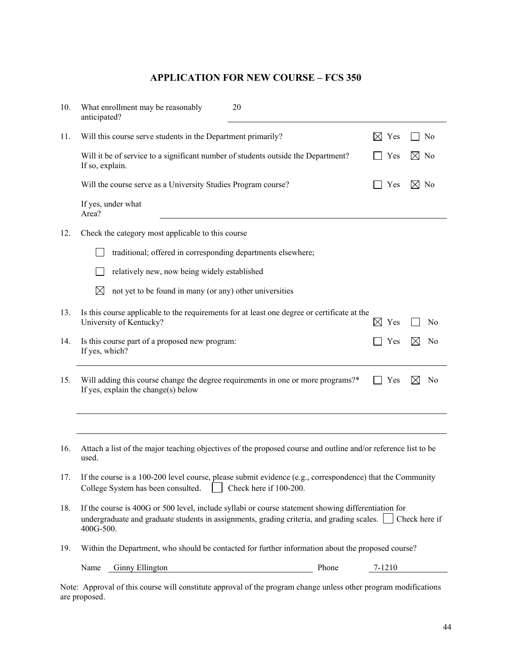# **APPLICATION FOR NEW COURSE – FCS 350**

| 10. | What enrollment may be reasonably<br>20<br>anticipated?                                                                                                                                                                     |                  |                               |
|-----|-----------------------------------------------------------------------------------------------------------------------------------------------------------------------------------------------------------------------------|------------------|-------------------------------|
| 11. | Will this course serve students in the Department primarily?                                                                                                                                                                | $\boxtimes$ Yes  | N <sub>0</sub>                |
|     | Will it be of service to a significant number of students outside the Department?<br>If so, explain.                                                                                                                        | Yes              | $\bowtie$<br>No               |
|     | Will the course serve as a University Studies Program course?                                                                                                                                                               | Yes              | $\boxtimes$ No                |
|     | If yes, under what<br>Area?                                                                                                                                                                                                 |                  |                               |
| 12. | Check the category most applicable to this course                                                                                                                                                                           |                  |                               |
|     | traditional; offered in corresponding departments elsewhere;                                                                                                                                                                |                  |                               |
|     | relatively new, now being widely established                                                                                                                                                                                |                  |                               |
|     | $\boxtimes$<br>not yet to be found in many (or any) other universities                                                                                                                                                      |                  |                               |
| 13. | Is this course applicable to the requirements for at least one degree or certificate at the<br>University of Kentucky?                                                                                                      | $\bowtie$<br>Yes | N0                            |
| 14. | Is this course part of a proposed new program:<br>If yes, which?                                                                                                                                                            | Yes              | N <sub>0</sub><br>⊠           |
| 15. | Will adding this course change the degree requirements in one or more programs?*<br>If yes, explain the change(s) below                                                                                                     | Yes              | $\boxtimes$<br>N <sub>0</sub> |
|     |                                                                                                                                                                                                                             |                  |                               |
| 16. | Attach a list of the major teaching objectives of the proposed course and outline and/or reference list to be<br>used.                                                                                                      |                  |                               |
| 17. | If the course is a 100-200 level course, please submit evidence (e.g., correspondence) that the Community<br>College System has been consulted.     Check here if 100-200.                                                  |                  |                               |
| 18. | If the course is 400G or 500 level, include syllabi or course statement showing differentiation for<br>undergraduate and graduate students in assignments, grading criteria, and grading scales. Check here if<br>400G-500. |                  |                               |
| 19. | Within the Department, who should be contacted for further information about the proposed course?                                                                                                                           |                  |                               |
|     | <b>Ginny Ellington</b><br>Name<br>Phone                                                                                                                                                                                     | 7-1210           |                               |

Note: Approval of this course will constitute approval of the program change unless other program modifications are proposed.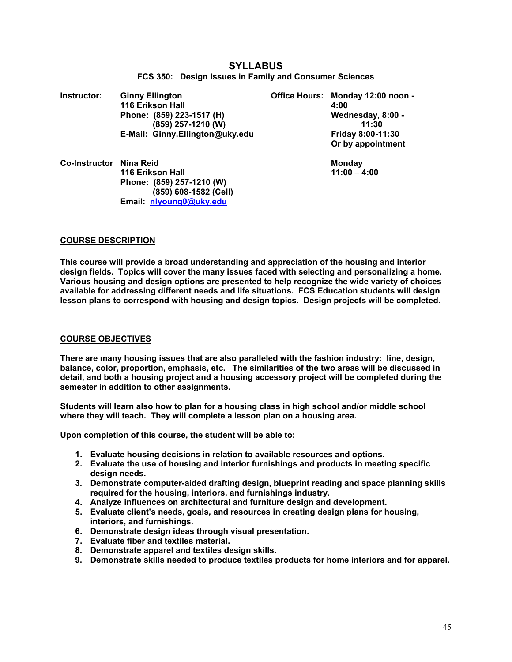| Instructor:          | <b>Ginny Ellington</b><br>116 Erikson Hall<br>Phone: (859) 223-1517 (H)<br>(859) 257-1210 (W)                  | Office Hours: Monday 12:00 noon -<br>4:00<br>Wednesday, 8:00 -<br>11:30 |
|----------------------|----------------------------------------------------------------------------------------------------------------|-------------------------------------------------------------------------|
|                      | E-Mail: Ginny.Ellington@uky.edu                                                                                | Friday 8:00-11:30<br>Or by appointment                                  |
| <b>Co-Instructor</b> | Nina Reid<br>116 Erikson Hall<br>Phone: (859) 257-1210 (W)<br>(859) 608-1582 (Cell)<br>Email: nlyoung0@uky.edu | <b>Monday</b><br>$11:00 - 4:00$                                         |

#### **SYLLABUS FCS 350: Design Issues in Family and Consumer Sciences**

#### **COURSE DESCRIPTION**

**This course will provide a broad understanding and appreciation of the housing and interior design fields. Topics will cover the many issues faced with selecting and personalizing a home. Various housing and design options are presented to help recognize the wide variety of choices available for addressing different needs and life situations. FCS Education students will design lesson plans to correspond with housing and design topics. Design projects will be completed.** 

#### **COURSE OBJECTIVES**

**There are many housing issues that are also paralleled with the fashion industry: line, design, balance, color, proportion, emphasis, etc. The similarities of the two areas will be discussed in detail, and both a housing project and a housing accessory project will be completed during the semester in addition to other assignments.** 

**Students will learn also how to plan for a housing class in high school and/or middle school where they will teach. They will complete a lesson plan on a housing area.** 

**Upon completion of this course, the student will be able to:** 

- **1. Evaluate housing decisions in relation to available resources and options.**
- **2. Evaluate the use of housing and interior furnishings and products in meeting specific design needs.**
- **3. Demonstrate computer-aided drafting design, blueprint reading and space planning skills required for the housing, interiors, and furnishings industry.**
- **4. Analyze influences on architectural and furniture design and development.**
- **5. Evaluate client's needs, goals, and resources in creating design plans for housing, interiors, and furnishings.**
- **6. Demonstrate design ideas through visual presentation.**
- **7. Evaluate fiber and textiles material.**
- **8. Demonstrate apparel and textiles design skills.**
- **9. Demonstrate skills needed to produce textiles products for home interiors and for apparel.**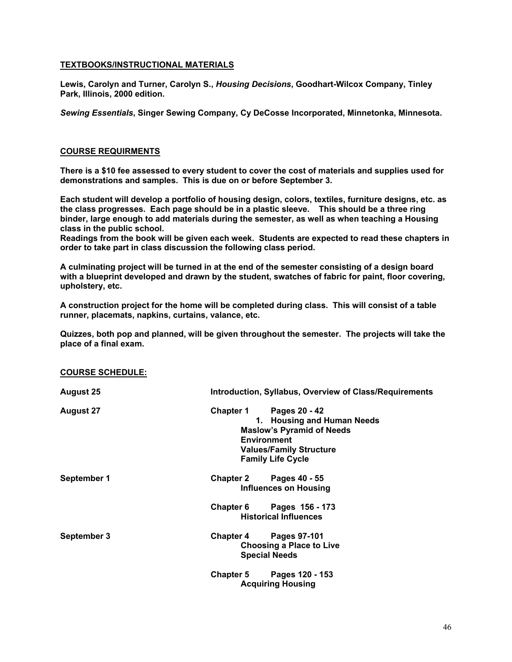#### **TEXTBOOKS/INSTRUCTIONAL MATERIALS**

**Lewis, Carolyn and Turner, Carolyn S.,** *Housing Decisions***, Goodhart-Wilcox Company, Tinley Park, Illinois, 2000 edition.** 

*Sewing Essentials***, Singer Sewing Company, Cy DeCosse Incorporated, Minnetonka, Minnesota.** 

#### **COURSE REQUIRMENTS**

**There is a \$10 fee assessed to every student to cover the cost of materials and supplies used for demonstrations and samples. This is due on or before September 3.** 

**Each student will develop a portfolio of housing design, colors, textiles, furniture designs, etc. as the class progresses. Each page should be in a plastic sleeve. This should be a three ring binder, large enough to add materials during the semester, as well as when teaching a Housing class in the public school.** 

**Readings from the book will be given each week. Students are expected to read these chapters in order to take part in class discussion the following class period.** 

**A culminating project will be turned in at the end of the semester consisting of a design board with a blueprint developed and drawn by the student, swatches of fabric for paint, floor covering, upholstery, etc.** 

**A construction project for the home will be completed during class. This will consist of a table runner, placemats, napkins, curtains, valance, etc.** 

**Quizzes, both pop and planned, will be given throughout the semester. The projects will take the place of a final exam.** 

#### **COURSE SCHEDULE:**

| <b>August 25</b> |                                        | Introduction, Syllabus, Overview of Class/Requirements                                                                                        |
|------------------|----------------------------------------|-----------------------------------------------------------------------------------------------------------------------------------------------|
| <b>August 27</b> | <b>Chapter 1</b><br><b>Environment</b> | Pages 20 - 42<br>1. Housing and Human Needs<br><b>Maslow's Pyramid of Needs</b><br><b>Values/Family Structure</b><br><b>Family Life Cycle</b> |
| September 1      | <b>Chapter 2</b>                       | Pages 40 - 55<br><b>Influences on Housing</b>                                                                                                 |
|                  |                                        | Chapter 6 Pages $156 - 173$<br><b>Historical Influences</b>                                                                                   |
| September 3      | Chapter 4 Pages 97-101                 | <b>Choosing a Place to Live</b><br><b>Special Needs</b>                                                                                       |
|                  |                                        | Chapter 5 Pages 120 - 153<br><b>Acquiring Housing</b>                                                                                         |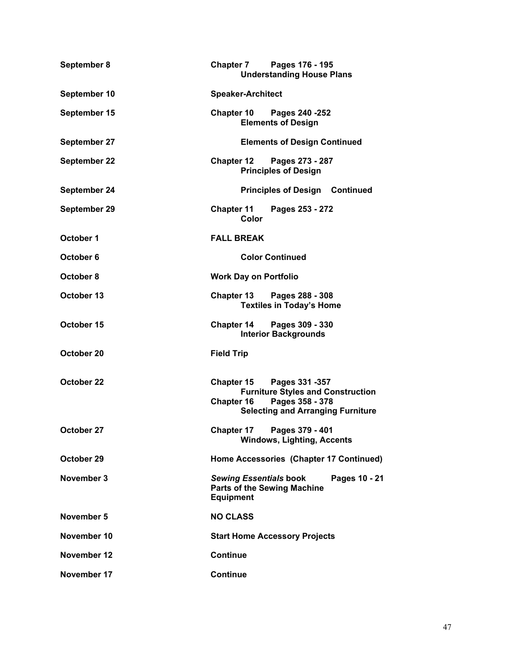| September 8  | Pages 176 - 195<br><b>Chapter 7</b><br><b>Understanding House Plans</b>                                                                                              |  |
|--------------|----------------------------------------------------------------------------------------------------------------------------------------------------------------------|--|
| September 10 | <b>Speaker-Architect</b>                                                                                                                                             |  |
| September 15 | <b>Chapter 10</b><br>Pages 240 - 252<br><b>Elements of Design</b>                                                                                                    |  |
| September 27 | <b>Elements of Design Continued</b>                                                                                                                                  |  |
| September 22 | Pages 273 - 287<br><b>Chapter 12</b><br><b>Principles of Design</b>                                                                                                  |  |
| September 24 | <b>Principles of Design Continued</b>                                                                                                                                |  |
| September 29 | <b>Chapter 11</b><br>Pages 253 - 272<br>Color                                                                                                                        |  |
| October 1    | <b>FALL BREAK</b>                                                                                                                                                    |  |
| October 6    | <b>Color Continued</b>                                                                                                                                               |  |
| October 8    | <b>Work Day on Portfolio</b>                                                                                                                                         |  |
| October 13   | <b>Chapter 13</b><br>Pages 288 - 308<br><b>Textiles in Today's Home</b>                                                                                              |  |
| October 15   | Pages 309 - 330<br><b>Chapter 14</b><br><b>Interior Backgrounds</b>                                                                                                  |  |
| October 20   | <b>Field Trip</b>                                                                                                                                                    |  |
| October 22   | <b>Chapter 15</b><br>Pages 331 - 357<br><b>Furniture Styles and Construction</b><br>Pages 358 - 378<br><b>Chapter 16</b><br><b>Selecting and Arranging Furniture</b> |  |
| October 27   | Chapter 17<br>Pages 379 - 401<br><b>Windows, Lighting, Accents</b>                                                                                                   |  |
| October 29   | Home Accessories (Chapter 17 Continued)                                                                                                                              |  |
| November 3   | <b>Sewing Essentials book</b><br>Pages 10 - 21<br><b>Parts of the Sewing Machine</b><br><b>Equipment</b>                                                             |  |
| November 5   | <b>NO CLASS</b>                                                                                                                                                      |  |
| November 10  | <b>Start Home Accessory Projects</b>                                                                                                                                 |  |
| November 12  | <b>Continue</b>                                                                                                                                                      |  |
| November 17  | <b>Continue</b>                                                                                                                                                      |  |